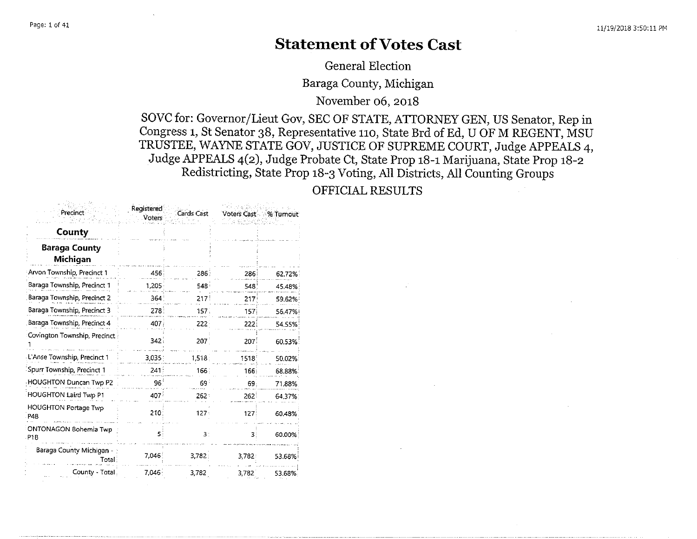#### **Statement of Votes Cast**

General Election

Baraga County, Michigan

November 06, 2018

SOVC for: Governor/Lieut Gov, SEC OF STATE, ATTORNEY GEN, US Senator, Rep in Congress 1, St Senator 38, Representative 110, State Brd of Ed, U OF M REGENT, MSU TRUSTEE, WAYNE STATE GOV, JUSTICE OF SUPREME COURT, Judge APPEALS 4, Judge APPEALS 4(2), Judge Probate Ct, State Prop 18-1 Marijuana, State Prop 18-2 Redistricting, State Prop 18-3 Voting, All Districts, All Counting Groups

#### OFFICIAL RESULTS

| Precinct                                        | Registered<br><b>Voters</b> | <b>Cards Cast</b> | Voters Cast      | ं% Tumout <sup>.</sup> |
|-------------------------------------------------|-----------------------------|-------------------|------------------|------------------------|
| County                                          |                             |                   |                  |                        |
| <b>Baraga County</b><br>Michigan                |                             |                   |                  |                        |
| Arvon Township, Precinct 1                      | 456                         | 286               | 286              | 62.72%                 |
| Baraga Township, Precinct 1                     | 1,205                       | 548               | 548              | 45.48%                 |
| Baraga Township, Precinct 2                     | 364                         | 217               | 217 <sup>3</sup> | 59.62%                 |
| Baraga Township, Precinct 3                     | 278                         | 157               | 157 <sub>1</sub> | 56.47%                 |
| Baraga Township, Precinct 4                     | 407                         | 222               | 222              | 54.55%                 |
| Covington Township, Precinct                    | 342.                        | 207               | 207              | 60.53%                 |
| L'Anse Township, Precinct 1                     | 3,035                       | 1,518             | 1518             | 50.02%                 |
| Spurr Township, Precinct 1                      | 241:                        | 166               | 166              | 68,88%                 |
| <b>HOUGHTON Duncan Twp P2</b>                   | $96^{\frac{1}{3}}$          | 69                | 69.              | 71.88%                 |
| HOUGHTON Laird Twp P1                           | 407                         | $262 -$           | $262^{\circ}$    | 64.37%                 |
| <b>HOUGHTON Portage Twp</b><br>P <sub>4</sub> B | 210                         | $127 -$           | 127              | 60.48%                 |
| ONTONAGON Bohemia Twp<br>P1B                    | 5                           | 3:                | 31               | 60.00%                 |
| Baraga County Michigan -<br>Total :             | 7,046                       | 3,782             | 3,782            | 53.68%                 |
| County - Total                                  | 7,046                       | 3,782             | 3,782            | 53.68%                 |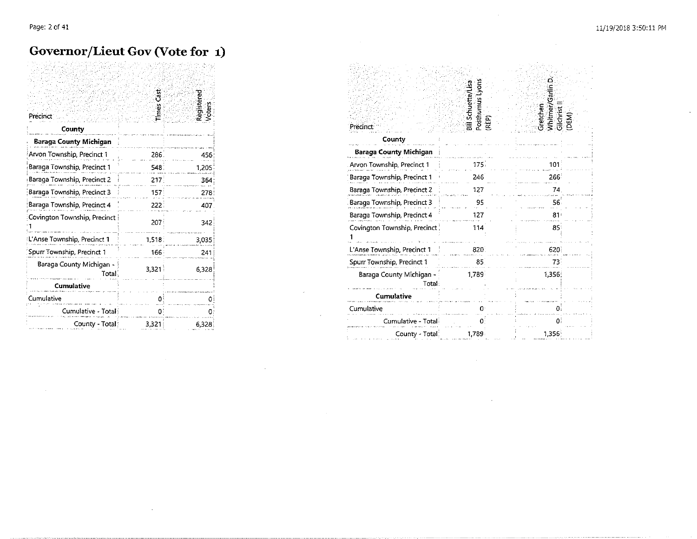#### Governor/Lieut Gov (Vote for 1)

| Precinct                          | Times Cas | Registered<br>Voters |
|-----------------------------------|-----------|----------------------|
| County                            |           |                      |
| Baraga County Michigan            |           |                      |
| Arvon Township, Precinct 1        | 286.      | 456                  |
| Baraga Township, Precinct 1       | 548       | 1,205                |
| Baraga Township, Precinct 2       | 217       | 364                  |
| Baraga Township, Precinct 3       | 157       | 278                  |
| Baraga Township, Precinct 4       | 222       | 407                  |
| Covington Township, Precinct      | 207       | 342                  |
| L'Anse Township, Precinct 1       | 1.518.    | 3,035                |
| Spurr Township, Precinct 1        | 166       | 241                  |
| Baraga County Michigan -<br>Total | 3,321     | 6.323                |
| Cumulative                        |           |                      |
| Cumulative                        |           |                      |
| Cumulative - Total                | Ω         |                      |
| County - Total                    | 3,321     | 6328                 |

| Precinct                          | Posthumus Lyons<br>Bill Schuette/Lisa<br>RÉP) | Gretchen<br>Whitmer/Garl<br>Glichrist II<br>(DEM) |
|-----------------------------------|-----------------------------------------------|---------------------------------------------------|
| County                            |                                               |                                                   |
| Baraga County Michigan            |                                               |                                                   |
| Arvon Township, Precinct 1        | 175.                                          | 101                                               |
| Baraga Township, Precinct 1       | 246                                           | 266                                               |
| Baraga Township, Precinct 2       | 127                                           | 74                                                |
| Baraga Township, Precinct 3       | 95                                            | 56.                                               |
| Baraga Township, Precinct 4       | 127                                           | 81 <sub>1</sub>                                   |
| Covington Township, Precinct      | 114                                           | 85                                                |
| L'Anse Township, Precinct 1       | 820                                           | 620                                               |
| Spurr Township, Precinct 1        | 85.                                           | 73.                                               |
| Baraga County Michigan -<br>Total | 1.789                                         | 1,356                                             |
| <b>Cumulative</b>                 |                                               |                                                   |
| Cumulative                        |                                               |                                                   |
| Cumulative - Total                |                                               | $\Omega$                                          |
| County - Total                    | 1.789                                         | 1,356                                             |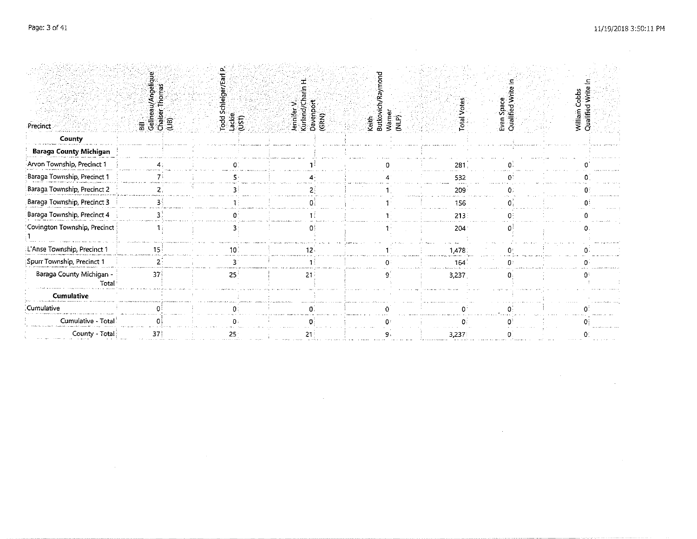$\sim 10^{-1}$ 

| Precinct                          | u/Angeliqu<br>Thomas<br>all<br>Gelinea<br>Craiser<br>(LiB) | Todd Schle<br>Lackie<br>(UST) | Kurland/Ch<br>Davenport<br>(GRN)<br>Jennifer V | keith<br>Butkoyi | <b>Total Votes</b><br>Warner<br>(NLP) | Evan Space<br>Qualified Write | William Cobbs<br>Qualified Write I |  |
|-----------------------------------|------------------------------------------------------------|-------------------------------|------------------------------------------------|------------------|---------------------------------------|-------------------------------|------------------------------------|--|
| County                            |                                                            |                               |                                                |                  |                                       |                               |                                    |  |
| <b>Baraga County Michigan</b>     |                                                            |                               |                                                |                  |                                       |                               |                                    |  |
| Arvon Township, Precinct 1        |                                                            |                               |                                                |                  | 281                                   |                               |                                    |  |
| Baraga Township, Precinct 1       |                                                            |                               |                                                |                  | 532                                   |                               |                                    |  |
| Baraga Township, Precinct 2       |                                                            |                               |                                                |                  | 209                                   |                               |                                    |  |
| Baraga Township, Precinct 3       |                                                            |                               |                                                |                  | 156                                   |                               |                                    |  |
| Baraga Township, Precinct 4       |                                                            |                               |                                                |                  | 213.5                                 |                               |                                    |  |
| Covington Township, Precinct      |                                                            |                               |                                                |                  | 204                                   |                               |                                    |  |
| L'Anse Township, Precinct 1       | 15                                                         |                               | 12                                             |                  | 1,478                                 |                               |                                    |  |
| Spurr Township, Precinct 1        |                                                            |                               |                                                |                  | 164                                   |                               |                                    |  |
| Baraga County Michigan -<br>Total | 37                                                         | $25^{\circ}$                  | 21                                             |                  | 3,237                                 |                               |                                    |  |
| <b>Cumulative</b>                 |                                                            |                               |                                                |                  |                                       |                               |                                    |  |
| Cumulative                        |                                                            |                               |                                                |                  |                                       |                               |                                    |  |
| Cumulative - Total                |                                                            |                               |                                                |                  |                                       |                               |                                    |  |
| County - Total                    | 37                                                         | 25                            |                                                |                  | 3,237                                 |                               |                                    |  |

 $\mathcal{L}(\mathcal{L}(\mathcal{L}(\mathcal{L}(\mathcal{L}(\mathcal{L}(\mathcal{L}(\mathcal{L}(\mathcal{L}(\mathcal{L}(\mathcal{L}(\mathcal{L}(\mathcal{L}(\mathcal{L}(\mathcal{L}(\mathcal{L}(\mathcal{L}(\mathcal{L}(\mathcal{L}(\mathcal{L}(\mathcal{L}(\mathcal{L}(\mathcal{L}(\mathcal{L}(\mathcal{L}(\mathcal{L}(\mathcal{L}(\mathcal{L}(\mathcal{L}(\mathcal{L}(\mathcal{L}(\mathcal{L}(\mathcal{L}(\mathcal{L}(\mathcal{L}(\mathcal{L}(\mathcal{$ 

 $\mathcal{L}^{\mathcal{L}}$  and  $\mathcal{L}^{\mathcal{L}}$  and  $\mathcal{L}^{\mathcal{L}}$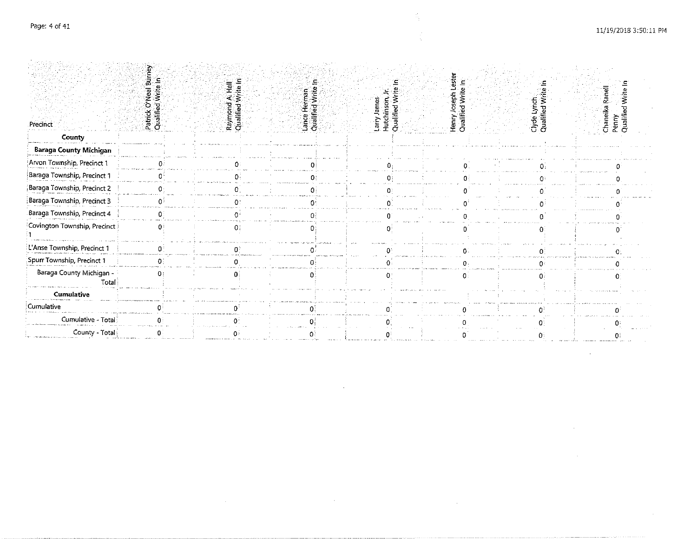| Precinct                          | 쿪<br>Patrick O'Neal<br>Qualified Write | Raymond<br>Qualified | man<br>Write<br>Ł<br>Lance Her<br>Qualified | Larry James<br>Hutchinson, Jr.<br>Qualified Write I | Henry Jos<br>Qualified | Clyde Lynch<br>Qualified Write I | Chaneika Ranell<br>Penny<br>Qualified Write I |
|-----------------------------------|----------------------------------------|----------------------|---------------------------------------------|-----------------------------------------------------|------------------------|----------------------------------|-----------------------------------------------|
| County                            |                                        |                      |                                             |                                                     |                        |                                  |                                               |
| Baraga County Michigan            |                                        |                      |                                             |                                                     |                        |                                  |                                               |
| Arvon Township, Precinct 1        |                                        |                      |                                             |                                                     |                        |                                  |                                               |
| Baraga Township, Precinct 1       |                                        |                      |                                             |                                                     |                        |                                  |                                               |
| Baraga Township, Precinct 2       |                                        |                      |                                             |                                                     |                        |                                  |                                               |
| Baraga Township, Precinct 3       |                                        |                      |                                             |                                                     |                        |                                  |                                               |
| Baraga Township, Precinct 4       |                                        |                      |                                             |                                                     |                        |                                  |                                               |
| Covington Township, Precinct      |                                        |                      |                                             |                                                     |                        |                                  |                                               |
| L Anse Township, Precinct 1       |                                        |                      |                                             |                                                     |                        |                                  |                                               |
| Spurr Township, Precinct 1        |                                        |                      |                                             |                                                     |                        |                                  |                                               |
| Baraga County Michigan -<br>Total |                                        |                      |                                             |                                                     |                        |                                  |                                               |
| <b>Cumulative</b>                 |                                        |                      |                                             |                                                     |                        |                                  |                                               |
| Cumulative                        |                                        |                      |                                             |                                                     |                        |                                  |                                               |
| Cumulative - Total                |                                        |                      |                                             |                                                     |                        |                                  |                                               |
| County - Total                    |                                        |                      |                                             |                                                     |                        |                                  |                                               |

 $\sim 10^7$ 

S.

÷.

 $\sim 10^7$ 

 $\mathcal{L}^{\mathcal{L}}$ 

 $\sim 10^{-1}$ 

 $\mathcal{L}^{\mathcal{L}}(\mathcal{L}^{\mathcal{L}})$  and  $\mathcal{L}^{\mathcal{L}}(\mathcal{L}^{\mathcal{L}})$  and  $\mathcal{L}^{\mathcal{L}}(\mathcal{L}^{\mathcal{L}})$  $\sim 1000$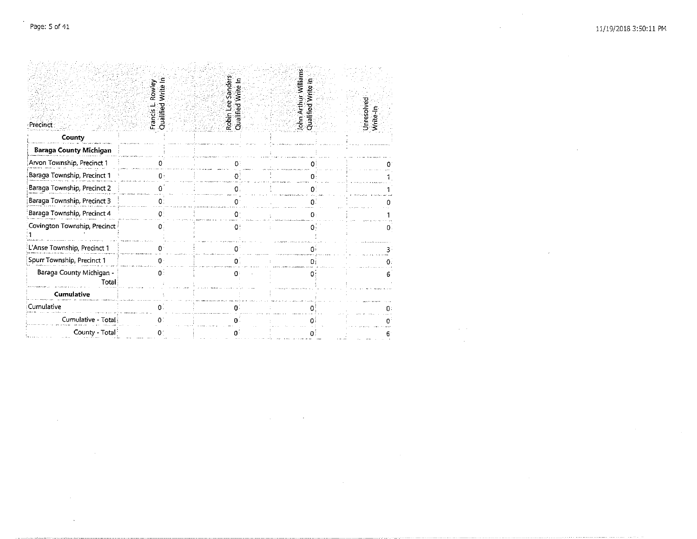$\sim$ 

 $\label{eq:2.1} \mathcal{L}^{\text{max}}_{\text{max}}(\mathcal{L}^{\text{max}}_{\text{max}}, \mathcal{L}^{\text{max}}_{\text{max}})$ 

 $\sim 10^{-10}$ 

 $\sim 100$ 

 $\sim 300$ 

| Précinct                          | Qualified Write In<br>Rowley<br>Francis L | Robin Lee Sanders<br>Qualified Write In | John Arthur Williams<br>rite In<br>lified W<br>ner,<br>C | Unresolved<br>Write-In |
|-----------------------------------|-------------------------------------------|-----------------------------------------|----------------------------------------------------------|------------------------|
| County                            |                                           |                                         |                                                          |                        |
| <b>Baraga County Michigan</b>     |                                           |                                         |                                                          |                        |
| Arvon Township, Precinct 1        |                                           |                                         |                                                          |                        |
| Baraga Township, Precinct 1       | በ፡                                        |                                         |                                                          |                        |
| Baraga Township, Precinct 2       |                                           |                                         | 01                                                       |                        |
| Baraga Township, Precinct 3       | 0:                                        | o                                       |                                                          |                        |
| Baraga Township, Precinct 4       | O.                                        | n                                       | 0                                                        |                        |
| Covington Township, Precinct      | Ω.                                        | O.                                      | Ω,                                                       | Ω.                     |
| L Anse Township, Precinct 1       |                                           |                                         |                                                          |                        |
| Spurr Township, Precinct 1        | $\Omega$ .                                | $0^{\circ}$                             | Ωi                                                       | Ω.                     |
| Baraga County Michigan -<br>Total | 0:                                        | O.                                      | 0:                                                       |                        |
| <b>Cumulative</b>                 |                                           |                                         |                                                          |                        |
| Cumulative                        |                                           |                                         |                                                          |                        |
| Cumulative - Total                | 0.                                        | n.                                      |                                                          |                        |
| County - Total <sup>:</sup>       | 01                                        | o.                                      |                                                          |                        |

 $\mathcal{L}^{\mathcal{L}}(\mathcal{L}^{\mathcal{L}})$  and  $\mathcal{L}^{\mathcal{L}}(\mathcal{L}^{\mathcal{L}})$  and  $\mathcal{L}^{\mathcal{L}}(\mathcal{L}^{\mathcal{L}})$ 

 $\mathcal{A}=\mathcal{A}$  .  $\sim 10^6$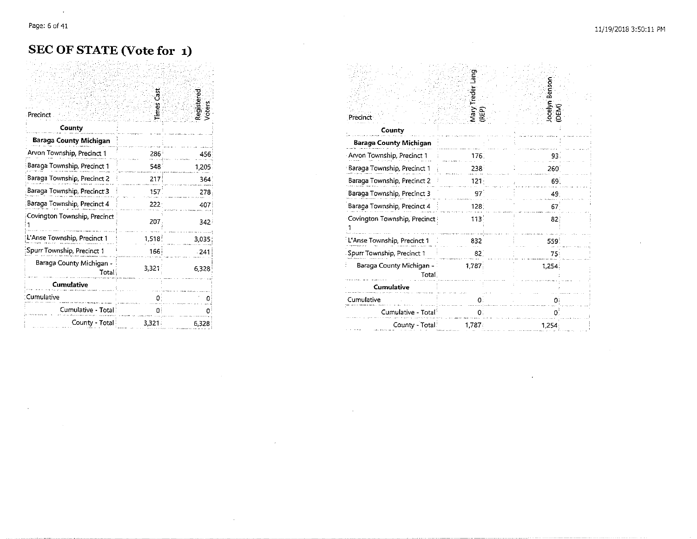$\sim$ 

#### **SEC OF STATE (Vote for 1)**

| Precinct                          | mes Cast | Registered<br>Voters |
|-----------------------------------|----------|----------------------|
| County                            |          |                      |
| Baraga County Michigan            |          |                      |
| Arvon Township, Precinct 1        | 286      | 456                  |
| Baraga Township, Precinct 1       | 548      | 1,205                |
| Baraga Township, Precinct 2       | 217      | 364                  |
| Baraga Township, Precinct 3       | 157      | 278                  |
| Baraga Township, Precinct 4       | 222      | 407                  |
| Covington Township, Precinct      | 207      | 3421                 |
| L'Anse Township, Precinct 1       | 1,518    | 3,035                |
| Spurr Township, Precinct 1        | 166      | $-241$               |
| Baraga County Michigan -<br>Total | 3,321    | 6,328                |
| Cumulative                        |          |                      |
| Cumulative                        | 0        |                      |
| Cumulative - Total                | O.       |                      |
| County - Total                    | 3,321    | 6,328                |

| Precinct                          | Mary Treder Lang<br>(REP) | Jocelyn Benson<br>(DEM) |  |
|-----------------------------------|---------------------------|-------------------------|--|
| County                            |                           |                         |  |
| Baraga County Michigan            |                           |                         |  |
| Arvon Township, Precinct 1        | 176.                      | 93.                     |  |
| Baraga Township, Precinct 1       | 238                       | 260                     |  |
| Baraga Township, Precinct 2       | $121 -$                   | 69.                     |  |
| Baraga Township, Precinct 3       | 97                        | 49.                     |  |
| Baraga Township, Precinct 4       | 128.                      | 67                      |  |
| Covington Township, Precinct      | 113                       | 82.                     |  |
| L'Anse Township, Precinct 1       | 832                       | 559                     |  |
| Spurr Township, Precinct 1        | 82                        | 75.                     |  |
| Baraga County Michigan -<br>Total | 1,787                     | 1.254                   |  |
| <b>Cumulative</b>                 |                           |                         |  |
| Cumulative                        |                           | o                       |  |
| Cumulative - Total <sup>1</sup>   | 0.                        | 0                       |  |
| County - Total!                   | 1,787                     | 1,254                   |  |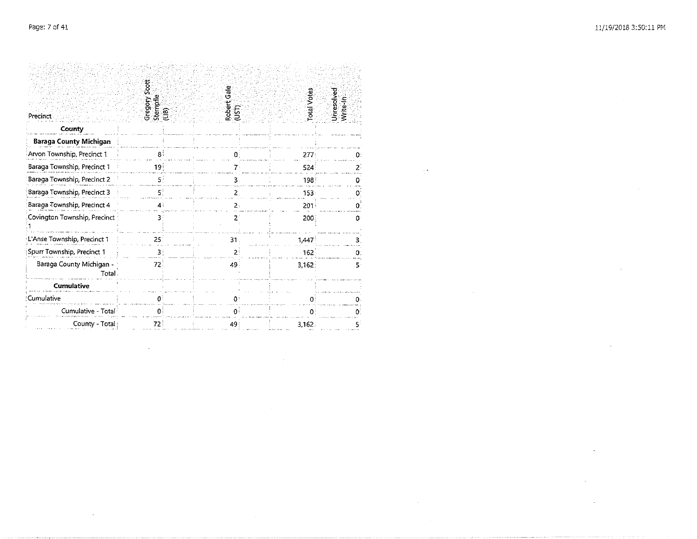÷.

 $\mathbf{r}$ 

 $\sim$ 

 $\sim$ 

 $\Delta t$ 

| Precinct                           | Gregory Scott<br>Stempfle<br>(LIB) | Gale<br>Robert<br>ÜΣ | otal Votes | Unresolved<br>Write-In |
|------------------------------------|------------------------------------|----------------------|------------|------------------------|
| County                             |                                    |                      |            |                        |
| <b>Baraga County Michigan</b>      |                                    |                      |            |                        |
| Arvon Township, Precinct 1         | 81                                 |                      | 277:       |                        |
| Baraga Township, Precinct 1        | 19                                 | 7:                   | 524        | 2.                     |
| Baraga Township, Precinct 2        | s.                                 |                      | 198        |                        |
| Baraga Township, Precinct 3        | 5.                                 | 2.                   | 153        | 0                      |
| Baraga Township, Precinct 4        | $4^{\frac{1}{2}}$                  | 2.                   | 201        | n                      |
| Covington Township, Precinct       | 31                                 | 2                    | 200        | 0                      |
| L'Anse Township, Precinct 1        | 25.                                | 31                   | 1,447      | з                      |
| Spurr Township, Precinct 1         | ₹.                                 |                      | 162        |                        |
| Baraga County Michigan -<br>Total. | 72                                 | 49.                  | 3,162      | 5                      |
| <b>Cumulative</b>                  |                                    |                      |            |                        |
| Cumulative                         | n:                                 | ŋ۰                   | Ω          |                        |
| Cumulative - Total                 | 0                                  | 0                    | 0.         | 0.                     |
| County - Total                     | 72.                                | 49                   | 3,162.     | 5:                     |

n.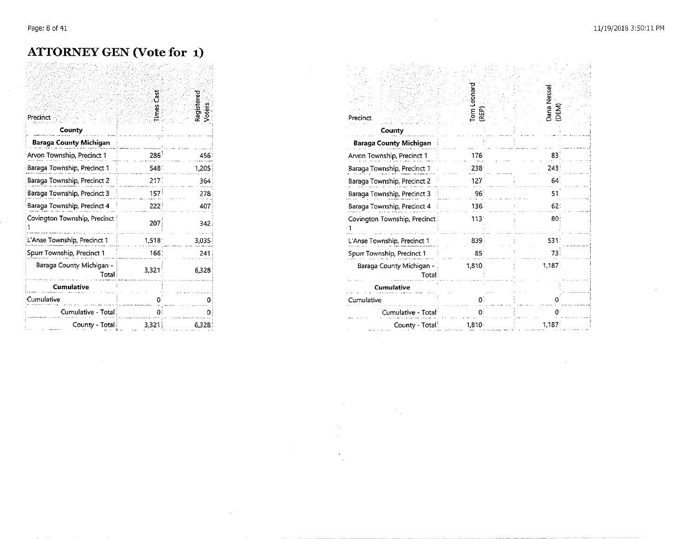#### **ATTORNEY GEN (Vote for 1)**

|                                   | ا<br>تار |                      |
|-----------------------------------|----------|----------------------|
| Precinct<br>County                | řes      | Registered<br>Voters |
| Baraga County Michigan            |          |                      |
| Arvon Township, Precinct 1        | 286      | 456                  |
| Baraga Township, Precinct 1       | 548.     | 1,205                |
| Baraga Township, Precinct 2       | 217      | 364                  |
| Baraga Township, Precinct 3       | 157      | 278                  |
| Baraga Township, Precinct 4       | 222      | 407                  |
| Covington Township, Precinct      | 207      | 342                  |
| L'Anse Township, Precinct 1       | 1,518    | 3,035                |
| Spurr Township, Precinct 1        | 166      | 241                  |
| Baraga County Michigan -<br>Total | 3,321    | 6,328                |
| <b>Cumulative</b>                 |          |                      |
| Cumulative                        |          | n                    |
| Cumulative - Total                | 0        | Ω                    |
| County - Total                    | 3.321    | 6.328                |

| Precinct                          | Tom Leonard<br>(REP) | Dana Nessel<br>(DEM) |
|-----------------------------------|----------------------|----------------------|
| County                            |                      |                      |
| Baraga County Michigan            |                      |                      |
| Arvon Township, Precinct 1        | 176 <sup>1</sup>     | 83                   |
| Baraga Township, Precinct 1       | 238                  | 243                  |
| Baraga Township, Precinct 2       | 1271                 | 64                   |
| Baraga Township, Precinct 3       | 96 <sup>1</sup>      | 51                   |
| Baraga Township, Precinct 4       | 136.                 | 62.                  |
| Covington Township, Precinct      | 113:                 | 80                   |
| L Anse Township, Precinct 1       | 839                  | 531.                 |
| Spurr Township, Precinct 1        | 85                   | 73                   |
| Baraga County Michigan -<br>Total | 1,810:               | 1,187                |
| <b>Cumulative</b>                 |                      |                      |
| Cumulative                        | n.                   |                      |
| Cumulative - Total                | 0:                   |                      |
| County - Total                    | $1.810 -$            | 1,187                |

 $\mathcal{O}(\mathcal{E}_\mathbf{a})$ 

 $\Delta \phi$ 

 $\epsilon$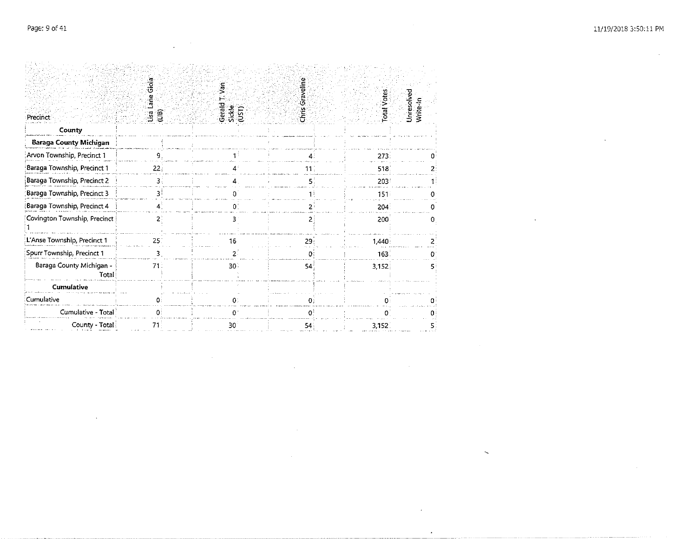$\sim$ 

 $\sim 10^6$ 

|                                   | ة:<br>Gio       | γãη                       |                 |                    |                        |
|-----------------------------------|-----------------|---------------------------|-----------------|--------------------|------------------------|
|                                   | Lane            |                           |                 |                    |                        |
| Precinct                          | ្ធ គ្ន          | Gerald<br>Sickle<br>(UST) | Chris Graveline | <b>Total Votes</b> | Unresolved<br>Write-In |
| County                            |                 |                           |                 |                    |                        |
| <b>Baraga County Michigan</b>     |                 |                           |                 |                    |                        |
| Arvon Township, Precinct 1        | q               |                           |                 | 273.               |                        |
| Baraga Township, Precinct 1       | 22 <sub>1</sub> |                           | 11.             | 518                |                        |
| Baraga Township, Precinct 2       | 3.              |                           |                 | 203                |                        |
| Baraga Township, Precinct 3       | 31              |                           |                 | 151                |                        |
| Baraga Township, Precinct 4       | 4               | Ω                         | 21              | 204 <sup>1</sup>   |                        |
| Covington Township, Precinct      | 2.              | 3                         |                 | 200                | 0                      |
| L'Anse Township, Precinct 1       | 25.             | 16                        | 29              | 1,440:             |                        |
| Spurr Township, Precinct 1        |                 | 2.                        |                 | 163.               |                        |
| Baraga County Michigan -<br>Total | 71.             | 30:                       | 54              | 3,152              |                        |
| Cumulative                        |                 |                           |                 |                    |                        |
| Cumulative                        | Ω.              | 0:                        | $\mathbf{0}$ :  |                    |                        |
| Cumulative - Total                | 0:              | 0                         |                 |                    |                        |
| County - Total                    |                 | 30                        | 54              | 3,152.             |                        |

 $\sim 10^7$ 

 $\sim 10$ 

 $\sim$   $\alpha$ 

 $\cdot$ 

 $\mathcal{L}$ 

 $\bar{\phantom{a}}$ 

 $\sim$  $\mathcal{L}^{\mathcal{L}}$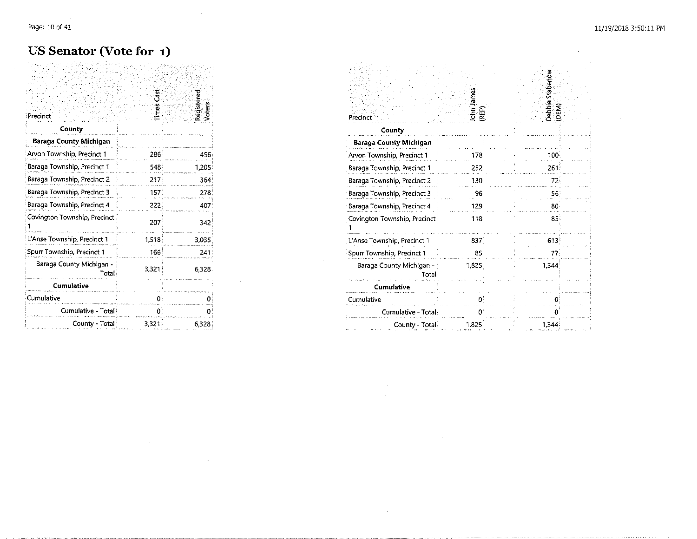#### US Senator (Vote for 1)

| Precinct                          | ី<br>mes | Registered<br>Voters |
|-----------------------------------|----------|----------------------|
| County                            |          |                      |
| Baraga County Michigan            |          |                      |
| Arvon Township, Precinct 1        | 286.     | 456                  |
| Baraga Township, Precinct 1       | 548:     | 1,205                |
| Baraga Township, Precinct 2       | 217      | 364                  |
| Baraga Township, Precinct 3       | 157.     | 278                  |
| Baraga Township, Precinct 4       | 222      | 407                  |
| Covington Township, Precinct      | 207      | 342                  |
| L'Anse Township, Precinct 1       | 1,518    | 3,035                |
| Spurr Township, Precinct 1        | 166      | 241                  |
| Baraga County Michigan -<br>Total | 3,321    | 6.328                |
| Cumulative                        |          |                      |
| Cumulative                        | o        |                      |
| Cumulative - Total                | 0.       |                      |
| County - Total i                  | 3,321    | 6,328                |

| Precinct                          | John James<br>REP <sub>.</sub> | Debbie Stabenow<br>(DEM) |
|-----------------------------------|--------------------------------|--------------------------|
| County                            |                                |                          |
| <b>Baraga County Michigan</b>     |                                |                          |
| Arvon Township, Precinct 1        | 178                            | 100.                     |
| Baraga Township, Precinct 1       | 252.                           | 261.                     |
| Baraga Township, Precinct 2       | 130                            | 72.                      |
| Baraga Township, Precinct 3       | 96                             | 56                       |
| Baraga Township, Precinct 4       | 129 <sup>2</sup>               | 80 <sub>1</sub>          |
| Covington Township, Precinct      | $118 -$                        | 85:                      |
| L'Anse Township, Precinct 1       | 837                            | 613                      |
| Spurr Township, Precinct 1        | 85                             | 77                       |
| Baraga County Michigan -<br>Total | 1,825                          | 1,344                    |
| Cumulative                        |                                |                          |
| Cumulative                        | 0                              | Ð                        |
| Cumulative - Total:               |                                |                          |
| County - Total                    | 1,825                          | 1,344                    |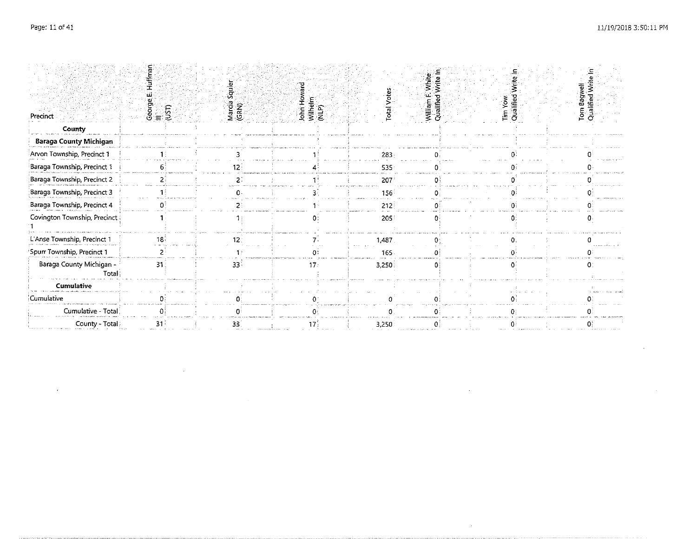$\mathcal{L}$ 

 $\sim$ 

|                                   |               | ्हे             |                              |                    | white:                 |                      |                                |
|-----------------------------------|---------------|-----------------|------------------------------|--------------------|------------------------|----------------------|--------------------------------|
| Precinct                          | $\frac{1}{2}$ | Marcia<br>(GRN) | John Hov<br>Wilhelm<br>(NLP) | <b>Iotal</b> Votes | Qualified<br>William I | Qualified<br>Tim Yow | Torn Bagwell<br>Qualified Writ |
| County                            |               |                 |                              |                    |                        |                      |                                |
| <b>Baraga County Michigan</b>     |               |                 |                              |                    |                        |                      |                                |
| Arvon Township, Precinct 1        |               |                 |                              | 283                |                        |                      |                                |
| Baraga Township, Precinct 1       |               |                 |                              | 535                |                        |                      |                                |
| Baraga Township, Precinct 2       |               |                 |                              | 207                |                        |                      |                                |
| Baraga Township, Precinct 3       |               |                 |                              | 156                |                        |                      |                                |
| Baraga Township, Precinct 4       |               |                 |                              | 212:               |                        |                      |                                |
| Covington Township, Precinct      |               |                 |                              | 205                |                        |                      |                                |
| L'Anse Township, Precinct 1       |               |                 |                              | 1,487.             |                        |                      |                                |
| Spurr Township, Precinct 1        |               |                 |                              | 165                |                        |                      |                                |
| Baraga County Michigan -<br>Total | 31            | 33              |                              | 3,250              |                        |                      |                                |
| <b>Cumulative</b>                 |               |                 |                              |                    |                        |                      |                                |
| Cumulative                        |               |                 |                              |                    |                        |                      |                                |
| Cumulative - Total                |               |                 |                              |                    |                        |                      |                                |
| County - Total:                   |               | 33              |                              | 3,250              |                        |                      |                                |

 $\sim$ 

 $\mathcal{A}^{\mathcal{A}}$ 

 $\sim 10^{-11}$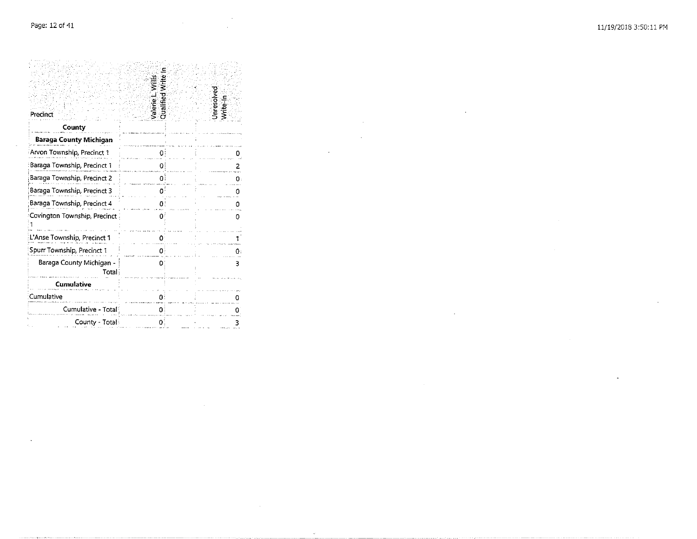h.

Cumulative

Ū.

Covington Township, Precinct

L'Anse Township, Precinct 1

Spurr Township, Precinct 1

Baraga County Michigan -

Cumulative

Cumulative - Total

County - Total

Total

| Precinci                      | ខ្លួ |
|-------------------------------|------|
| County                        |      |
| <b>Baraga County Michigan</b> |      |
| Arvon Township, Precinct 1    |      |
| Baraga Township, Precinct 1   |      |
| Baraga Township, Precinct 2   |      |
| Baraga Township, Precinct 3   |      |
| Baraga Township, Precinct 4   |      |

 $\circ$ 

-1

 $\mathbf{0}$ 

 $\overline{\mathbf{3}}$ 

 $\mathcal{L}_{\mathbf{a}}$ 

 $\mathbf 0$ 

 $\mathbf{0}$ 

يشبب

 $\mathbf{3}$ 

 $\mathbf{0}^{\frac{1}{2}}$ 

 $\mathbf{0}$ 

 $\mathbf{0}$ 

 $\mathbf{0}$ 

 $\mathbf{0}$ 

 $|0\rangle$ 

 $\mathbf{O}_i^t$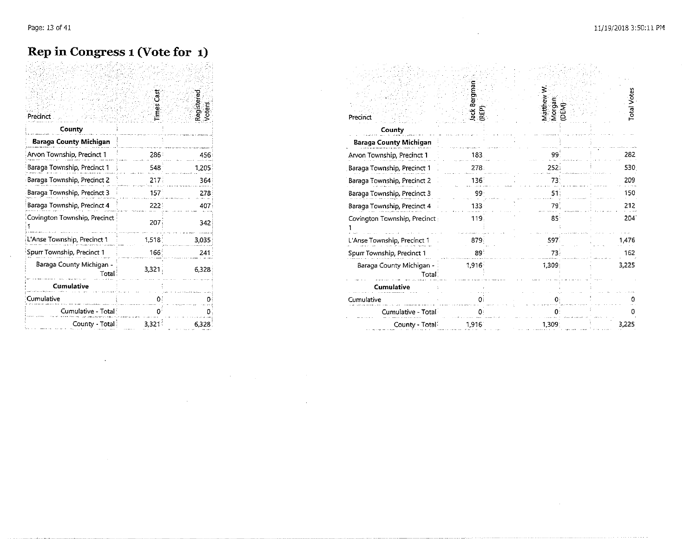#### **Rep in Congress 1 (Vote for 1)**

| Precinct                           |                  | Régistered<br>Voters | Precinct                          |
|------------------------------------|------------------|----------------------|-----------------------------------|
| County                             |                  |                      | County                            |
| <b>Baraga County Michigan</b>      |                  |                      | <b>Baraga County Michigan</b>     |
| Arvon Township, Precinct 1         | 286              | 456                  | Arvon Township, Precinct 1        |
| Baraga Township, Precinct 1        | 548              | 1,205                | Baraga Township, Precinct 1       |
| Baraga Township, Precinct 2        | 217              | 364                  | Baraga Township, Precinct 2       |
| Baraga Township, Precinct 3        | 157 <sup>3</sup> | 278                  | Baraga Township, Precinct 3       |
| Baraga Township, Precinct 4        | 222:             | 407                  | Baraga Township, Precinct 4       |
| Covington Township, Precinct       | 207              | 342                  | Covington Township, Precinct      |
| L'Anse Township, Precinct 1        | 1,518            | 3,035                | L'Anse Township, Precinct 1       |
| Spurr Township, Precinct 1         | $166^{\circ}$    | 241                  | Spurr Township, Precinct 1        |
| Baraga County Michigan -<br>Total: | 3,321            | 6.328                | Baraga County Michigan -<br>Total |
| Cumulative                         |                  |                      | <b>Cumulative</b>                 |
| Cumulative                         |                  |                      | Cumulative                        |
| Cumulative - Total                 |                  |                      | Cumulative - Total                |
| County - Total                     | 3,321            | 6.328                | County - Total                    |

 $\ddot{\phantom{a}}$ 

 $\mathcal{L}^{\mathcal{L}}(\mathcal{L}^{\mathcal{L}})$  and  $\mathcal{L}^{\mathcal{L}}(\mathcal{L}^{\mathcal{L}})$  and  $\mathcal{L}^{\mathcal{L}}(\mathcal{L}^{\mathcal{L}})$  and  $\mathcal{L}^{\mathcal{L}}(\mathcal{L}^{\mathcal{L}})$ 

 $\mathcal{L}^{\text{max}}_{\text{max}}$  ,  $\mathcal{L}^{\text{max}}_{\text{max}}$ 

 $\mathcal{L}^{\mathcal{L}}(\mathcal{L}^{\mathcal{L}}(\mathcal{L}^{\mathcal{L}}(\mathcal{L}^{\mathcal{L}}(\mathcal{L}^{\mathcal{L}}(\mathcal{L}^{\mathcal{L}}(\mathcal{L}^{\mathcal{L}}(\mathcal{L}^{\mathcal{L}}(\mathcal{L}^{\mathcal{L}}(\mathcal{L}^{\mathcal{L}}(\mathcal{L}^{\mathcal{L}}(\mathcal{L}^{\mathcal{L}}(\mathcal{L}^{\mathcal{L}}(\mathcal{L}^{\mathcal{L}}(\mathcal{L}^{\mathcal{L}}(\mathcal{L}^{\mathcal{L}}(\mathcal{L}^{\mathcal{L$ 

| Precinct                          |       | Régistered<br>Voters | Precinct                         | ಳ     | Matthew<br>Morgan<br>(DEM) |       |
|-----------------------------------|-------|----------------------|----------------------------------|-------|----------------------------|-------|
| County                            |       |                      | County                           |       |                            |       |
| <b>Baraga County Michigan</b>     |       |                      | <b>Baraga County Michigan</b>    |       |                            |       |
| Arvon Township, Precinct 1        | 286   | 456.                 | Arvon Township, Precinct 1       | 183   |                            | 282   |
| Baraga Township, Precinct 1       | 548   | 1.205                | Baraga Township, Precinct 1      | 278   | 252                        | 530   |
| Baraga Township, Precinct 2       | 217.  | 364                  | Baraga Township, Precinct 2      | 136   |                            | 209   |
| Baraga Township, Precinct 3       | 157   | 278                  | Baraga Township, Precinct 3      |       |                            | 150   |
| Baraga Township, Precinct 4       | 222   | 407                  | Baraga Township, Precinct 4      |       |                            | 212   |
| Covington Township, Precinct      | 207   | 342                  | Covington Township, Precinct:    | 119   | 85                         | 204   |
| L'Anse Township, Precinct 1       | 1,518 | 3.035                | L'Anse Township, Precinct 1      | 879   | 597                        | 1.476 |
| Spurr Township, Precinct 1        | 166   | 241                  | Spurr Township, Precinct 1       |       |                            | 162   |
| Baraga County Michigan -<br>Total | 3,321 | 6.328                | Baraga County Michigan -<br>Fota | 1,916 | 1,309                      | 3,225 |
| <b>Cumulative</b>                 |       |                      | Cumulative                       |       |                            |       |
| Cumulative                        |       |                      | Cumulative                       |       |                            |       |
| Cumulative - Total:               |       |                      | Cumulative - Total               |       |                            |       |
| County - Total                    | 3,321 | 6,328                | County - Total                   | 1,916 | 1,309;                     | 3,225 |

 $\sim 10^7$ 

 $\sim 10^{-1}$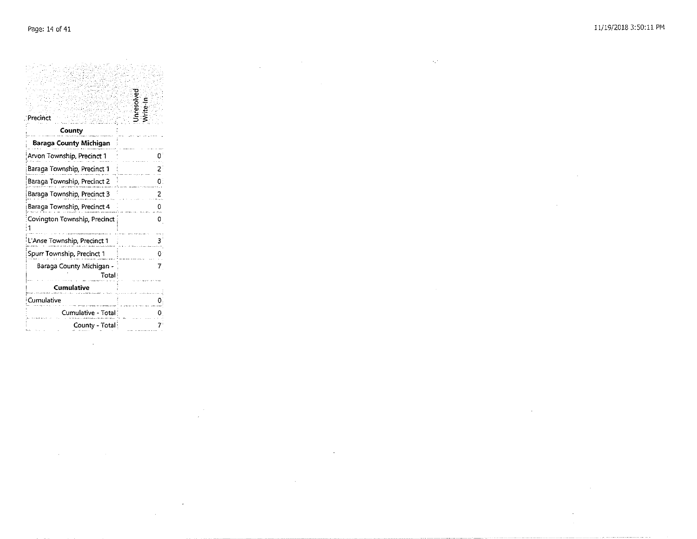$\mathcal{L}^{\text{max}}_{\text{max}}$  and  $\mathcal{L}^{\text{max}}_{\text{max}}$ 

 $\mathcal{L}^{\mathcal{L}}$  and  $\mathcal{L}^{\mathcal{L}}$  are the set of the set of  $\mathcal{L}^{\mathcal{L}}$ 

 $\mathcal{L}(\mathcal{L}^{\mathcal{L}})$  and  $\mathcal{L}(\mathcal{L}^{\mathcal{L}})$  . The contribution

 $\frac{1}{2} \frac{1}{2}$ 

|                               | Unresolver<br>Write-In |
|-------------------------------|------------------------|
| Precinct                      |                        |
| County                        |                        |
| <b>Baraga County Michigan</b> |                        |
| Arvon Township, Precinct 1    |                        |
| Baraga Township, Precinct 1   |                        |
| Baraga Township, Precinct 2   | 0:                     |
| Baraga Township, Precinct 3   |                        |
| Baraga Township, Precinct 4   |                        |
| Covington Township, Precinct  | 0                      |
|                               |                        |
| L'Anse Township, Precinct 1   |                        |
| Spurr Township, Precinct 1    |                        |
| Baraga County Michigan -      | 7                      |
| Total                         |                        |
| <b>Cumulative</b>             |                        |
| Cumulative                    |                        |
| Cumulative - Total            |                        |
| County - Total                |                        |

 $\mathcal{L}(\mathcal{L}^{\text{max}}_{\mathcal{L}})$  ,  $\mathcal{L}^{\text{max}}_{\mathcal{L}}$ 

 $\mathcal{L}^{\text{max}}_{\text{max}}$  and  $\mathcal{L}^{\text{max}}_{\text{max}}$ 

 $\label{eq:2.1} \frac{1}{\sqrt{2}}\int_{\mathbb{R}^3}\frac{1}{\sqrt{2}}\left(\frac{1}{\sqrt{2}}\right)^2\frac{1}{\sqrt{2}}\left(\frac{1}{\sqrt{2}}\right)^2\frac{1}{\sqrt{2}}\left(\frac{1}{\sqrt{2}}\right)^2\frac{1}{\sqrt{2}}\left(\frac{1}{\sqrt{2}}\right)^2.$ 

 $\mathcal{L}^{\mathcal{L}}$  and  $\mathcal{L}^{\mathcal{L}}$  are  $\mathcal{L}^{\mathcal{L}}$  . The set of the set of  $\mathcal{L}^{\mathcal{L}}$ 

 $\mathcal{L}^{\text{max}}_{\text{max}}$  ,  $\mathcal{L}^{\text{max}}_{\text{max}}$ 

 $\sim 10^{11}$  km  $^{-1}$ 

 $\label{eq:2.1} \mathcal{L}(\mathcal{L}^{\text{max}}_{\mathcal{L}}(\mathcal{L}^{\text{max}}_{\mathcal{L}}),\mathcal{L}^{\text{max}}_{\mathcal{L}}(\mathcal{L}^{\text{max}}_{\mathcal{L}}))$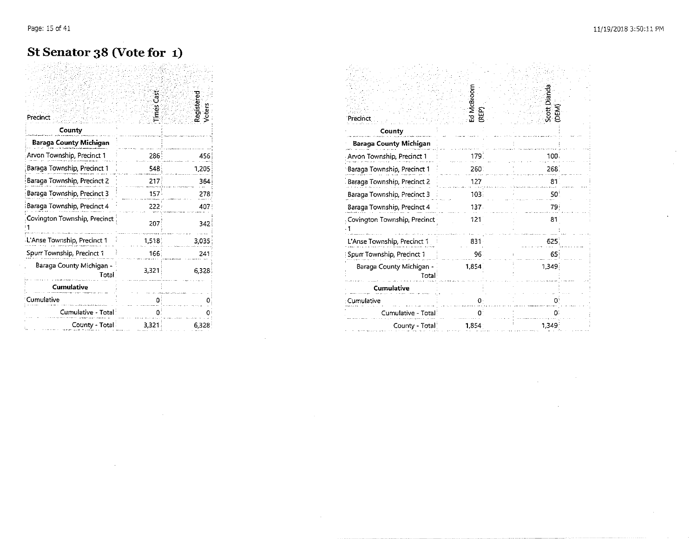# St Senator 38 (Vote for 1)

| Precinct                          | imes Casi | Registered |
|-----------------------------------|-----------|------------|
| County                            |           |            |
| Baraga County Michigan            |           |            |
| Arvon Township, Precinct 1        | 286       | 456        |
| Baraga Township, Precinct 1       | 548       | 1,205      |
| Baraga Township, Precinct 2       | 217       | 364        |
| Baraga Township, Precinct 3       | 157       | 278        |
| Baraga Township, Precinct 4       | 222.      | 407        |
| Covington Township, Precinct      | 207       | 342        |
| L'Anse Township, Precinct 1       | 1,518     | 3,035      |
| Spurr Township, Precinct 1        | 166       | 241        |
| Baraga County Michigan -<br>Total | 3,321     | 6.328      |
| <b>Cumulative</b>                 |           |            |
| Cumulative                        | n         |            |
| Cumulative - Total:               | 0         |            |
| County - Total                    | 3,321     | 6,328      |

 $\bar{z}$ 

| Precinct                          | Ed McBroom<br><b>REP</b> | Scott Dianda<br>(DEM) |
|-----------------------------------|--------------------------|-----------------------|
| County                            |                          |                       |
| Baraga County Michigan            |                          |                       |
| Arvon Township, Precinct 1        | 179.                     | 100.                  |
| Baraga Township, Precinct 1       | 260.                     | 268.                  |
| Baraga Township, Precinct 2       | 127                      | 81                    |
| Baraga Township, Precinct 3       | 103.                     | 50                    |
| Baraga Township, Precinct 4       | 137.                     | 79                    |
| Covington Township, Precinct      | 121                      | 81                    |
| L'Anse Township, Precinct 1       | 831                      | 625                   |
| Spurr Township, Precinct 1        | 96.                      | 65.                   |
| Baraga County Michigan -<br>Total | 1,854                    | 1.349                 |
| Cumulative                        |                          |                       |
| Cumulative                        | 0.                       | Ω                     |
| Cumulative - Total                | U                        |                       |
| County - Total                    | 1,854                    | 1.349                 |

 $\sim$ 

 $\sim 10^7$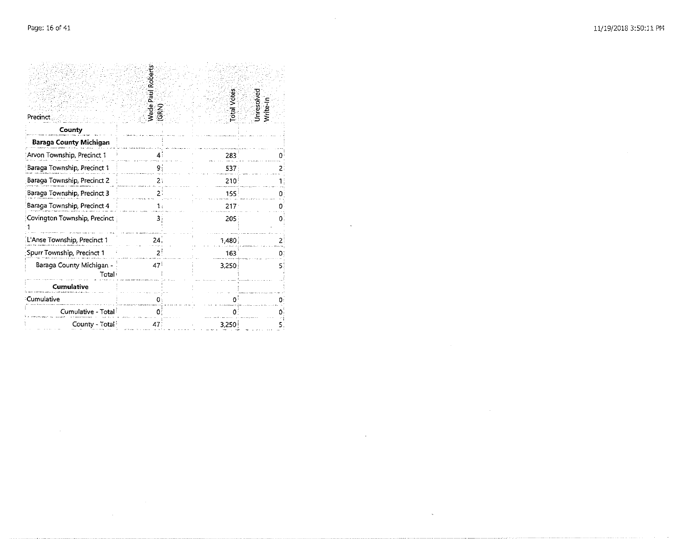$\sim 10^{-1}$ 

| Precinct                          | Wade Paul Roberts<br>ट<br>उ | otal Votes       | Unresolved<br>Write-In |
|-----------------------------------|-----------------------------|------------------|------------------------|
| County                            |                             |                  |                        |
| Baraga County Michigan            |                             |                  |                        |
| Arvon Township, Precinct 1        | 4                           | 283              | 0.                     |
| Baraga Township, Precinct 1       | 9                           | 537              | 21                     |
| Baraga Township, Precinct 2       | 2:                          | $210^{\circ}$    |                        |
| Baraga Township, Precinct 3       |                             | 155              | n:                     |
| Baraga Township, Precinct 4       |                             | 217 <sup>1</sup> | 0.                     |
| Covington Township, Precinct      | 3                           | 205              | 0.                     |
| L'Anse Township, Precinct 1       | 24 <sub>1</sub>             | 1.480,           | 2                      |
| Spurr Township, Precinct 1        | 2                           | 163              | 01                     |
| Baraga County Michigan -<br>Total | 47                          | 3.250            | 51                     |
| <b>Cumulative</b>                 |                             |                  |                        |
| Cumulative                        | o                           | $\Omega$         | 0:                     |
| Cumulative - Total                | 0                           | o                |                        |
| County - Total                    | 47                          | 3,250            |                        |

 $\mathcal{L}^{\text{max}}_{\text{max}}$  and  $\mathcal{L}^{\text{max}}_{\text{max}}$ 

 $\sim 100$ 

 $\sim 10^7$ 

 $\mathcal{L}(\mathcal{A})$  and  $\mathcal{L}(\mathcal{A})$  .

 $\sim$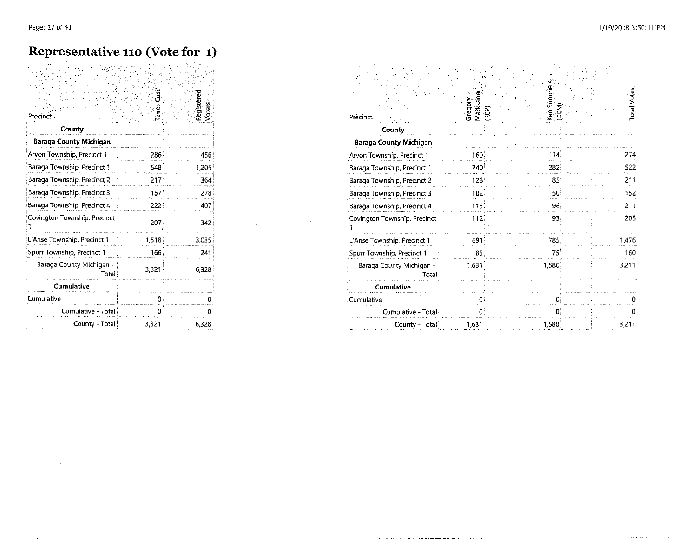#### **Representative 110 (Vote for 1)**

| Precinct<br>County                | Times Cast | Registered<br>Voters |
|-----------------------------------|------------|----------------------|
| Baraga County Michigan            |            |                      |
| Arvon Township, Precinct 1        | 286        | 456                  |
| Baraga Township, Precinct 1       | 548        | 1,205                |
| Baraga Township, Precinct 2       | 217        | 364                  |
| Baraga Township, Precinct 3       | 157        | 278                  |
| Baraga Township, Precinct 4       | 222        | 407                  |
| Covington Township, Precinct      | 207:       | 342                  |
| L'Anse Township, Precinct 1       | 1,518      | 3,035                |
| Spurr Township, Precinct 1        | 166        | 241                  |
| Baraga County Michigan -<br>Total | 3,321      | 6.328                |
| Cumulative                        |            |                      |
| Cumulative                        |            | Ω                    |
| Cumulative - Total                |            | 0                    |
| County - Total                    | 3,321      | 6,328                |

 $\mathcal{L}_{\text{max}}$  and  $\mathcal{L}_{\text{max}}$  and  $\mathcal{L}_{\text{max}}$  and  $\mathcal{L}_{\text{max}}$ 

 $\sim$ 

 $\sim$ 

| Precinct                          | Gregory<br>Markkanen<br>(REP) | Ken Summers<br>(DEM) | <b>Total Votes</b> |
|-----------------------------------|-------------------------------|----------------------|--------------------|
| County                            |                               |                      |                    |
| <b>Baraga County Michigan</b>     |                               |                      |                    |
| Arvon Township, Precinct 1        | 160.                          | 114                  | 274                |
| Baraga Township, Precinct 1       | 240                           | 282                  | 522                |
| Baraga Township, Precinct 2       | $126^{\circ}$                 | 85 <sup>2</sup>      | 211                |
| Baraga Township, Precinct 3       | $102 -$                       | 50 <sub>1</sub>      | 152                |
| Baraga Township, Precinct 4       | 115.                          | 96.                  | 211                |
| Covington Township, Precinct      | 112                           | 93.                  | 205                |
| L'Anse Township, Precinct 1       | 691                           | 785                  | 1,476              |
| Spurr Township, Precinct 1        | 85                            | 75                   | 160                |
| Baraga County Michigan -<br>Total | 1,631                         | 1,580                | 3,211              |
| Cumulative                        |                               |                      |                    |
| Cumulative                        | о                             | n                    |                    |
| Cumulative - Total                | O.                            | 0.                   |                    |
| County - Total                    | 1,631                         | 1,580                | 3,211              |

 $\sim 100$ 

 $\sim$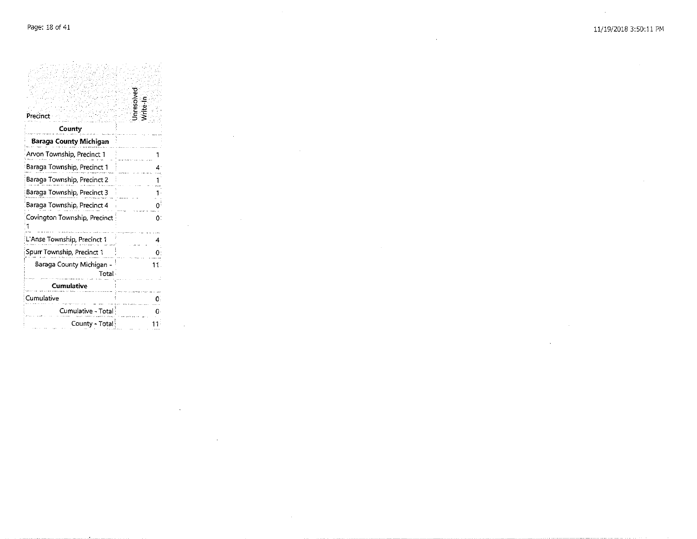$\sim 10$ 

| Precinct                          |    |
|-----------------------------------|----|
| County                            |    |
| Baraga County Michigan            |    |
| Arvon Township, Precinct 1        |    |
| Baraga Township, Precinct 1       |    |
| Baraga Township, Precinct 2       |    |
| Baraga Township, Precinct 3       |    |
| Baraga Township, Precinct 4       |    |
| Covington Township, Precinct      | 0. |
| L'Anse Township, Precinct 1       |    |
| Spurr Township, Precinct 1        |    |
| Baraga County Michigan -<br>Total |    |
| Cumulative                        |    |
| Cumulative                        |    |
| Cumulative - Total                |    |
| County - Total                    | דו |

 $\sim 10^{11}$  km  $^{-1}$ 

 $\label{eq:2.1} \frac{1}{\sqrt{2\pi}}\int_{\mathbb{R}^3}\frac{1}{\sqrt{2\pi}}\left(\frac{1}{\sqrt{2\pi}}\right)^2\frac{1}{\sqrt{2\pi}}\frac{1}{\sqrt{2\pi}}\frac{1}{\sqrt{2\pi}}\frac{1}{\sqrt{2\pi}}\frac{1}{\sqrt{2\pi}}\frac{1}{\sqrt{2\pi}}\frac{1}{\sqrt{2\pi}}\frac{1}{\sqrt{2\pi}}\frac{1}{\sqrt{2\pi}}\frac{1}{\sqrt{2\pi}}\frac{1}{\sqrt{2\pi}}\frac{1}{\sqrt{2\pi}}\frac{1}{\sqrt{2\pi}}\frac$ 

 $\sim 100$  km s  $^{-1}$ 

 $\sim 10^{11}$ 

 $\sim 10^{-1}$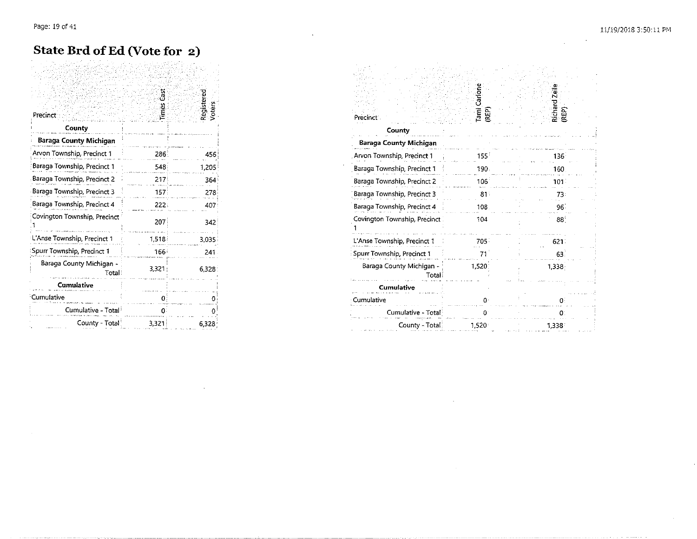$\sim 10^{-1}$ 

#### **State Brd of Ed (Vote for 2)**

| Precinct                          | ទី<br>Times | Registere          |
|-----------------------------------|-------------|--------------------|
| County                            |             |                    |
| <b>Baraga County Michigan</b>     |             |                    |
| Arvon Township, Precinct 1        | 286         | 456                |
| Baraga Township, Precinct 1       | 548         | 1,205              |
| Baraga Township, Precinct 2       | 217         | 364                |
| Baraga Township, Precinct 3       | 157.        | 278                |
| Baraga Township, Precinct 4       | 222.        | 407                |
| Covington Township, Precinct      | 207         | 342                |
| L'Anse Township, Precinct 1       | 1,518       | 3.035              |
| Spurr Township, Precinct 1        | 166         | 241                |
| Baraga County Michigan -<br>Total | 3.321       | 6.328 <sup>2</sup> |
| <b>Cumulative</b>                 |             |                    |
| Cumulative                        | 0           |                    |
| Cumulative - Total                | 0           |                    |
| County - Total                    | 3.321       | 6,328              |

| Precinct <sup>®</sup>             | Tami Carlone<br>REP) | Richard Zeile<br>(REP) |
|-----------------------------------|----------------------|------------------------|
| County                            |                      |                        |
| Baraga County Michigan            |                      |                        |
| Arvon Township, Precinct 1        | 155 <sup>2</sup>     | 136 <sup>°</sup>       |
| Baraga Township, Precinct 1       | 190.                 | 160                    |
| Baraga Township, Precinct 2       | 106                  | 101                    |
| Baraga Township, Precinct 3       | 81 <sup>°</sup>      | 73:                    |
| Baraga Township, Precinct 4       | 108.                 | 96.                    |
| Covington Township, Precinct      | 104                  | 88                     |
| L'Anse Township, Precinct 1       | 705.                 | 621.                   |
| Spurr Township, Precinct 1        | 71                   | 63.                    |
| Baraga County Michigan -<br>Total | 1,520                | 1,338:                 |
| <b>Cumulative</b>                 |                      |                        |
| Cumulative                        | Λ.                   | 0.                     |
| Cumulative - Total                |                      | n                      |
| County - Total                    | 1,520                | 1,338                  |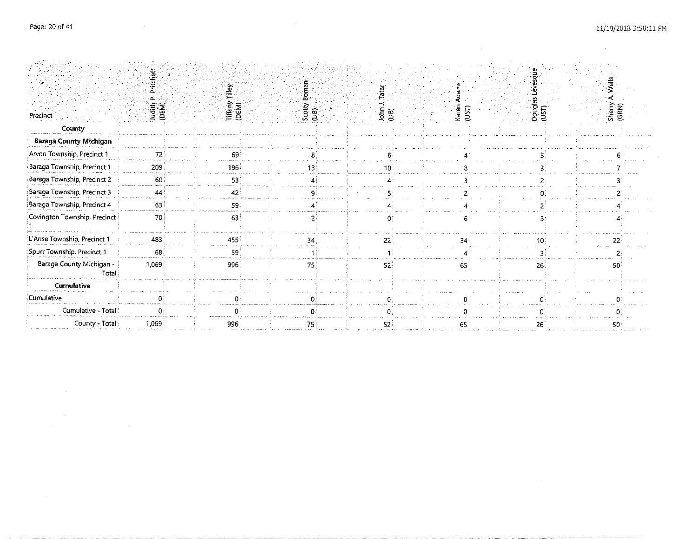$\label{eq:2.1} \mathcal{L}(\mathcal{L}(\mathcal{L})) = \mathcal{L}(\mathcal{L}(\mathcal{L})) = \mathcal{L}(\mathcal{L}(\mathcal{L}))$ 

 $\label{eq:2.1} \frac{1}{\sqrt{2}}\int_{\mathbb{R}^3} \frac{1}{\sqrt{2}}\left(\frac{1}{\sqrt{2}}\right)^2\left(\frac{1}{\sqrt{2}}\right)^2\left(\frac{1}{\sqrt{2}}\right)^2\left(\frac{1}{\sqrt{2}}\right)^2\left(\frac{1}{\sqrt{2}}\right)^2\left(\frac{1}{\sqrt{2}}\right)^2\left(\frac{1}{\sqrt{2}}\right)^2\left(\frac{1}{\sqrt{2}}\right)^2\left(\frac{1}{\sqrt{2}}\right)^2\left(\frac{1}{\sqrt{2}}\right)^2\left(\frac{1}{\sqrt{2}}\right)^2\left(\$ 

 $\sim 10^{11}$  km s  $^{-1}$ 

 $\mathcal{L}^{\text{max}}_{\text{max}}$  and  $\mathcal{L}^{\text{max}}_{\text{max}}$ 

 $\mathcal{L}^{\text{max}}_{\text{max}}$  and  $\mathcal{L}^{\text{max}}_{\text{max}}$ 

 $\mathcal{L}^{\text{max}}_{\text{max}}$  and  $\mathcal{L}^{\text{max}}_{\text{max}}$ 

|                                   | Judith P<br>(DEM) | Tiffany Tilley<br>(DEM) |                |                    |                | Douglas<br>(UST) | Wells<br>Sherry A.<br>(GRN) |
|-----------------------------------|-------------------|-------------------------|----------------|--------------------|----------------|------------------|-----------------------------|
| Precinct                          |                   |                         | $rac{1}{(18)}$ | $JohnJ$<br>$(LIB)$ | Karen<br>(UST) |                  |                             |
| County                            |                   |                         |                |                    |                |                  |                             |
| <b>Baraga County Michigan</b>     |                   |                         |                |                    |                |                  |                             |
| Arvon Township, Precinct 1        | 72                |                         |                |                    |                |                  |                             |
| Baraga Township, Precinct 1       | 209 <sub>3</sub>  | 196                     |                |                    |                |                  |                             |
| Baraga Township, Precinct 2       | 60                | 53                      |                |                    |                |                  |                             |
| Baraga Township, Precinct 3       | 44                | 42                      |                |                    |                |                  |                             |
| Baraga Township, Precinct 4       | 63                | 59                      |                |                    |                |                  |                             |
| Covington Township, Precinct      | 70                | 63                      |                |                    |                |                  |                             |
| L'Anse Township, Precinct 1       | 483               | 455                     | 34             | 22                 |                |                  |                             |
| Spurr Township, Precinct 1        | 68                | 59                      |                |                    |                |                  |                             |
| Baraga County Michigan -<br>Total | 1,069             | 996                     | 75             | 52                 | 65             | 26               |                             |
| <b>Cumulative</b>                 |                   |                         |                |                    |                |                  |                             |
| Cumulative                        |                   |                         |                |                    |                |                  |                             |
| Cumulative - Total                |                   |                         |                |                    |                |                  |                             |
| County - Total                    | 1,069             | 996                     | 75)            | -521               |                | 26               |                             |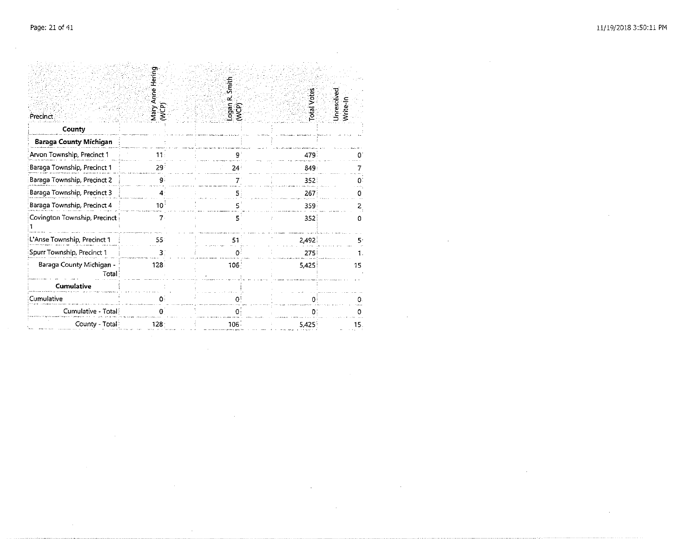$\sim$ 

|                                   | Mary Anne Hering | Smith                 |                    |                          |  |
|-----------------------------------|------------------|-----------------------|--------------------|--------------------------|--|
| Precinct                          | WCP)             | Logan R.<br>ု့<br>(၃) | <b>Total Votes</b> | Unresolved<br>Write-In   |  |
| County                            |                  |                       |                    |                          |  |
| <b>Baraga County Michigan</b>     |                  |                       |                    |                          |  |
| Arvon Township, Precinct 1        |                  | q.                    | 479                |                          |  |
| Baraga Township, Precinct 1       | 29:              | 24:                   | 849                |                          |  |
| Baraga Township, Precinct 2       | 9                | $7^{\circ}$           | 352                | Ω.                       |  |
| Baraga Township, Precinct 3       | 4                | 5.                    | 267                |                          |  |
| Baraga Township, Precinct 4       | 10°              | 5                     | 359                | $\mathbf{z}_{\parallel}$ |  |
| Covington Township, Precinct      | 7.               | 5                     | 352                | o                        |  |
| L'Anse Township, Precinct 1       | 55:              | 51                    | 2,492              | ς.                       |  |
| Spurr Township, Precinct 1        | 3.               | Đ.                    | 275                |                          |  |
| Baraga County Michigan -<br>Total | 128.             | 106                   | 5.425              | 15                       |  |
| <b>Cumulative</b>                 |                  |                       |                    |                          |  |
| Cumulative                        | Ω.               | O                     | $\Omega$           |                          |  |
| Cumulative - Total                | o                | 0                     | 0:                 | 0                        |  |
| County - Total                    | $128 -$          | 106 <sup>2</sup>      | 5.425              | 15.                      |  |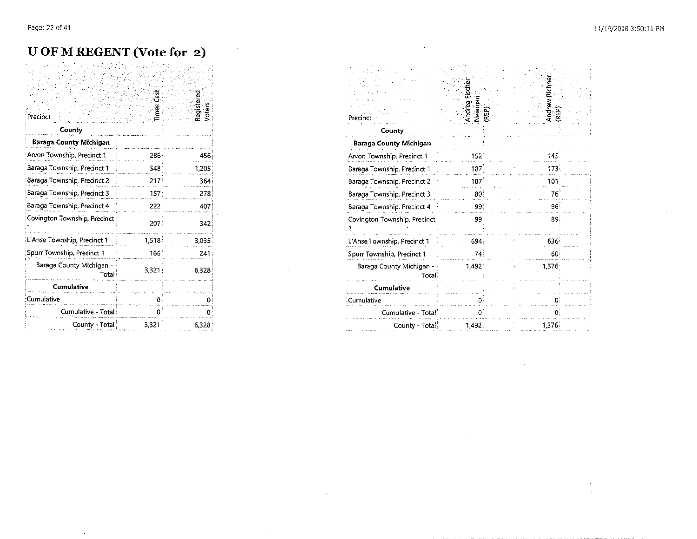#### U OF M REGENT (Vote for 2)

| Precinct                           | imes Cast | Registered |
|------------------------------------|-----------|------------|
| County                             |           |            |
| Baraga County Michigan             |           |            |
| Arvon Township, Precinct 1         | 286       | 456        |
| Baraga Township, Precinct 1        | 548       | 1,205      |
| Baraga Township, Precinct 2        | 217       | 364        |
| Baraga Township, Precinct 3        | 157       | 278        |
| Baraga Township, Precinct 4        | $222 -$   | 407        |
| Covington Township, Precinct       | 207.      | 342        |
| L'Anse Township, Precinct 1        | 1,518     | 3,035      |
| Spurr Township, Precinct 1         | 1661      | 241        |
| Baraga County Michigan -<br>Totali | $3,321$ : | 6,328      |
| Cumulative                         |           |            |
| Cumulative                         |           | n          |
| Cumulative - Total:                |           | 0          |
| County - Total                     | 3,321     | 6,328      |

 $\mathcal{L}$ 

| Precinct                           | Andrea Fische<br>Newman<br>REP) | <b>Andrew Richne</b><br>(REP) |
|------------------------------------|---------------------------------|-------------------------------|
| County                             |                                 |                               |
| Baraga County Michigan             |                                 |                               |
| Arvon Township, Precinct 1         | 152                             | 145                           |
| Baraga Township, Precinct 1        | 187                             | 173                           |
| Baraga Township, Precinct 2        | 107                             | 101                           |
| Baraga Township, Precinct 3        | 80                              | 76                            |
| Baraga Township, Precinct 4        | 99.                             | 96:                           |
| Covington Township, Precinct       | 99                              | 89.                           |
| L'Anse Township, Precinct 1        | 694                             | 636                           |
| Spurr Township, Precinct 1         | 74                              | 60                            |
| Baraga County Michigan -<br>Totali | 1,492                           | 1,376                         |
| Cumulative                         |                                 |                               |
| Cumulative                         |                                 |                               |
| Cumulative - Total                 | O.                              | 0.                            |
| County - Total                     | 1,492                           | 1,376                         |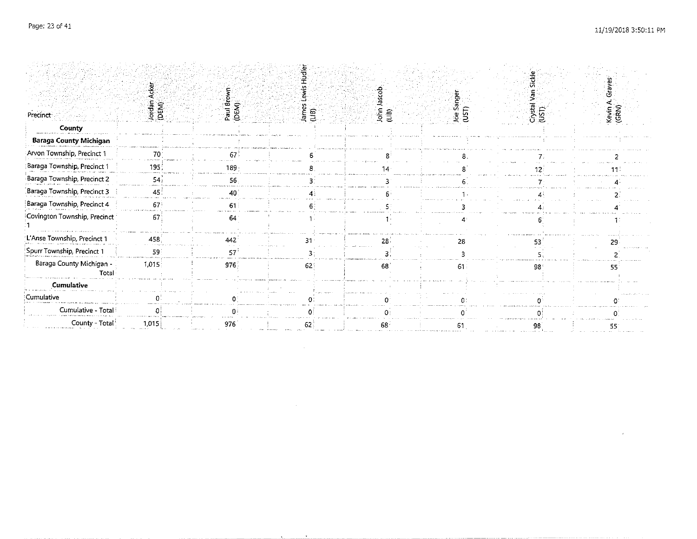$\sim$   $\alpha$ 

|                                           |                 |                     | چ              |              |                         |                  |                   |
|-------------------------------------------|-----------------|---------------------|----------------|--------------|-------------------------|------------------|-------------------|
|                                           |                 |                     |                |              |                         | Sickl            | Grayes            |
| Precinct                                  | Jordan<br>(DEM) | Paul Browl<br>(DEM) | James<br>(LIB) | (415)<br>Тó. | ୍ଟି<br>ମ<br>ses<br>UST) | Crystal<br>(UST) | Kevin A.<br>(GRN) |
| County                                    |                 |                     |                |              |                         |                  |                   |
| <b>Baraga County Michigan</b>             |                 |                     |                |              |                         |                  |                   |
| Arvon Township, Precinct 1                | 70              |                     |                |              |                         |                  |                   |
| Baraga Township, Precinct 1               | 195             | 189                 |                |              |                         |                  |                   |
| Baraga Township, Precinct 2               | 54              | 56                  |                |              |                         |                  |                   |
| Baraga Township, Precinct 3               | 45              | Λn                  |                |              |                         |                  |                   |
| Baraga Township, Precinct 4               | 671             | 61                  |                |              |                         |                  |                   |
| Covington Township, Precinct <sup>:</sup> | 67              | 64                  |                |              |                         |                  |                   |
| L'Anse Township, Precinct 1               | 458             | 442                 |                | 28.          | 28                      |                  |                   |
| Spurr Township, Precinct 1                | 59              | 57                  |                |              |                         |                  |                   |
| Baraga County Michigan -<br>Total         | 1,015           | 976                 | 62             | 68           | 61                      | 98               | 55                |
| Cumulative                                |                 |                     |                |              |                         |                  |                   |
| Cumulative                                |                 |                     |                |              |                         |                  |                   |
| Cumulative - Total!                       |                 |                     |                |              |                         |                  |                   |
| County - Total                            | 1,015           | 976                 |                |              |                         |                  | 55                |

 $\mathcal{L}^{\mathcal{L}}(\mathcal{L}^{\mathcal{L}})$  and  $\mathcal{L}^{\mathcal{L}}(\mathcal{L}^{\mathcal{L}})$  . The contribution of  $\mathcal{L}^{\mathcal{L}}$ 

 $\mathcal{L}^{\text{max}}_{\text{max}}$  , where  $\mathcal{L}^{\text{max}}_{\text{max}}$ 

 $\bullet$ 

the control of the state of the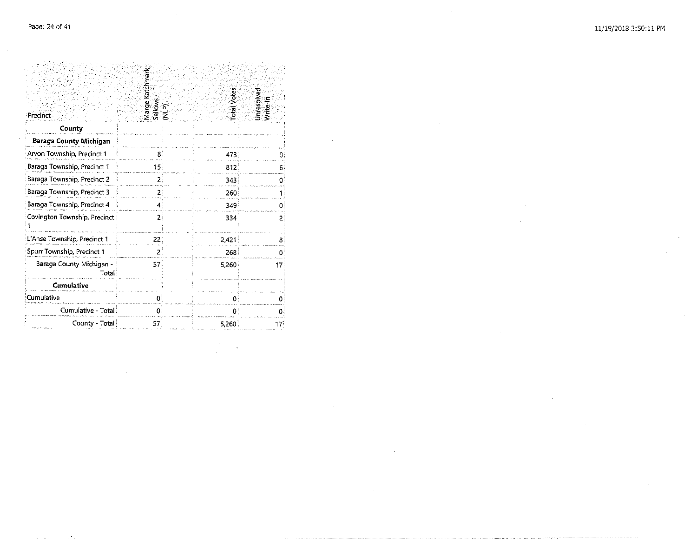|                                   | Marge Katchmark<br>Sallows<br>(NLP) |  | Total Votes | Unresolved<br>Mrtte-In |  |  |
|-----------------------------------|-------------------------------------|--|-------------|------------------------|--|--|
| Precinct.                         |                                     |  |             |                        |  |  |
| County                            |                                     |  |             |                        |  |  |
| Baraga County Michigan            |                                     |  |             |                        |  |  |
| Arvon Township, Precinct 1        | 8.                                  |  | 473         | Ð                      |  |  |
| Baraga Township, Precinct 1       | 15 <sub>1</sub>                     |  | 812         | 6                      |  |  |
| Baraga Township, Precinct 2       | 2                                   |  | 343         |                        |  |  |
| Baraga Township, Precinct 3       | 2                                   |  | 260         |                        |  |  |
| Baraga Township, Precinct 4       | 4                                   |  | 349         | Oi                     |  |  |
| Covington Township, Precinct      | 2                                   |  | 334         | 2                      |  |  |
| L'Anse Township, Precinct 1       | 221                                 |  | 2.421       | 8.                     |  |  |
| Spurr Township, Precinct 1        | 2                                   |  | 268         |                        |  |  |
| Baraga County Michigan -<br>Total | 57 <sup>2</sup>                     |  | 5,260       | 17.                    |  |  |
| <b>Cumulative</b>                 |                                     |  |             |                        |  |  |
| Cumulative                        | O                                   |  | ٥           |                        |  |  |
| Cumulative - Total                | o                                   |  | Λ           |                        |  |  |
| County - Total                    | 57                                  |  | 5,260       | 17:                    |  |  |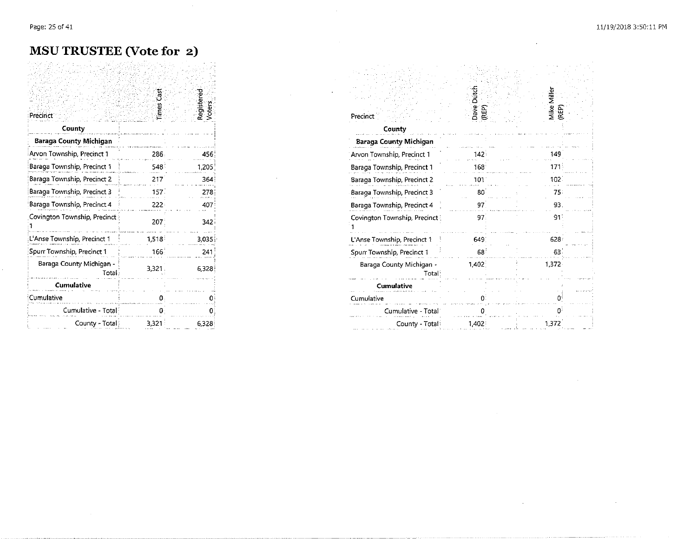$\mathcal{L}^{\pm}$ 

 $\alpha$ 

 $\sim$   $\alpha$ 

 $\sim 10^{11}$ 

#### **MSU TRUSTEE (Vote for 2)**

 $\sim$ 

| Precinct                           | imes          | Registered<br>Voters | Precinct                          |
|------------------------------------|---------------|----------------------|-----------------------------------|
| County                             |               |                      | County                            |
| <b>Baraga County Michigan</b>      |               |                      | <b>Baraga County Michigan</b>     |
| Arvon Township, Precinct 1         | 286.          | 456                  | Arvon Township, Precinct 1        |
| Baraga Township, Precinct 1        | 548           | 1.205                | Baraga Township, Precinct 1       |
| Baraga Township, Precinct 2        | 217           | 364                  | Baraga Township, Precinct 2       |
| Baraga Township, Precinct 3        | 157.          | 278                  | Baraga Township, Precinct 3       |
| Baraga Township, Precinct 4        | 222:          | 407                  | Baraga Township, Precinct 4       |
| Covington Township, Precinct       | $207^{\circ}$ | 342                  | Covington Township, Precinct      |
| L'Anse Township, Precinct 1        | 1,518         | 3.035                | L'Anse Township, Precinct 1       |
| Spurr Township, Precinct 1         | $166^{\circ}$ | 241                  | Spurr Township, Precinct 1        |
| Baraga County Michigan -<br>Total: | 3.321.        | 6.328                | Baraga County Michigan -<br>Total |
| Cumulative                         |               |                      | <b>Cumulative</b>                 |
| Cumulative                         |               |                      | Cumulative                        |
| Cumulative - Total                 |               |                      | Cumulative - Total                |
| County - Total:                    | 3,321         | 6.328                | County - Total                    |

| Precinct                          |         | Register<br>Voters | Precinct                          | Dave<br>(REP) | ille.<br>∑<br>Mike<br>(REP) |
|-----------------------------------|---------|--------------------|-----------------------------------|---------------|-----------------------------|
| County                            |         |                    | County                            |               |                             |
| <b>Baraga County Michigan</b>     |         |                    | Baraga County Michigan            |               |                             |
| Arvon Township, Precinct 1        | 286     |                    | Arvon Township, Precinct 1        |               |                             |
| Baraga Township, Precinct 1       | 548     | 1.205              | Baraga Township, Precinct 1       | 168           | 171                         |
| Baraga Township, Precinct 2       | 217     | 364                | Baraga Township, Precinct 2       | 101           | 102                         |
| Baraga Township, Precinct 3       | 157.    | 278                | Baraga Township, Precinct 3       | 80            | 75                          |
| Baraga Township, Precinct 4       | $222 -$ | 407                | Baraga Township, Precinct 4       |               | 93                          |
| Covington Township, Precinct      | 207     | 342                | Covington Township, Precinct      | 97            | 91                          |
| L'Anse Township, Precinct 1       | 1,518   | 3.035              | L'Anse Township, Precinct 1       | 649           | 628                         |
| Spurr Township, Precinct 1        | 166     | 241                | Spurr Township, Precinct 1        | 68            | 63                          |
| Baraga County Michigan -<br>Total | 3,321.  | 6,328              | Baraga County Michigan -<br>Total | 1,402         | 1.372                       |
| <b>Cumulative</b>                 |         |                    | Cumulative                        |               |                             |
| Cumulative                        |         |                    | Cumulative                        |               |                             |
| Cumulative - Total                |         |                    | Cumulative - Total                |               |                             |
| County - Total                    | 3,321   | 6.328              | County - Total                    | 1,402         | 1,372                       |

 $\alpha$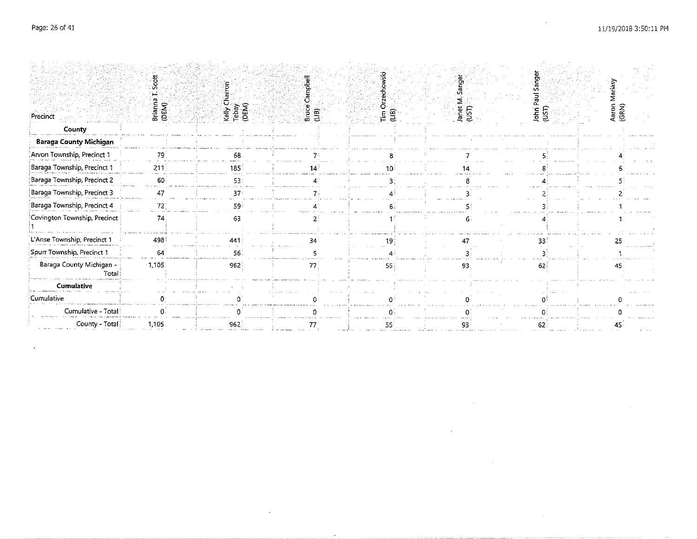$\sim 100$  $\sim$ 

|                                   |                 |                            |                     |                            | $\overline{a}$    |        |                      |  |
|-----------------------------------|-----------------|----------------------------|---------------------|----------------------------|-------------------|--------|----------------------|--|
| Precinct                          | Briann<br>(DEM) | Kelly Ch<br>Tebay<br>(DEM) | 횲<br>Bruce<br>(LiB) | $\left[\frac{1}{2}\right]$ | Janet M.<br>(UST) | John I | Σ.<br>Aaron<br>(GRN) |  |
| County                            |                 |                            |                     |                            |                   |        |                      |  |
| Baraga County Michigan            |                 |                            |                     |                            |                   |        |                      |  |
| Arvon Township, Precinct 1        | 79              | 68                         |                     |                            |                   |        |                      |  |
| Baraga Township, Precinct 1       | 211             | 185                        |                     |                            |                   |        |                      |  |
| Baraga Township, Precinct 2       | 60              | 53                         |                     |                            |                   |        |                      |  |
| Baraga Township, Precinct 3       |                 | 37                         |                     |                            |                   |        |                      |  |
| Baraga Township, Precinct 4       | $72^\circ$      | 59                         |                     |                            |                   |        |                      |  |
| Covington Township, Precinct      | 74              | 63                         |                     |                            |                   |        |                      |  |
| L'Anse Township, Precinct 1       | 498             | 441                        | 34                  |                            | 47                | 33.    |                      |  |
| Spurr Township, Precinct 1        | 64              | 56                         |                     |                            |                   |        |                      |  |
| Baraga County Michigan -<br>Total | $-1.105$        | 962                        | 77                  | 55                         | 93                | 62     |                      |  |
| <b>Cumulative</b>                 |                 |                            |                     |                            |                   |        |                      |  |
| Cumulative                        |                 |                            |                     |                            |                   |        |                      |  |
| Cumulative - Total                |                 |                            |                     |                            |                   |        |                      |  |
| County - Total                    | 1,105           | 962                        | 77                  |                            | 93.               |        |                      |  |

 $\sim$ 

 $\sim$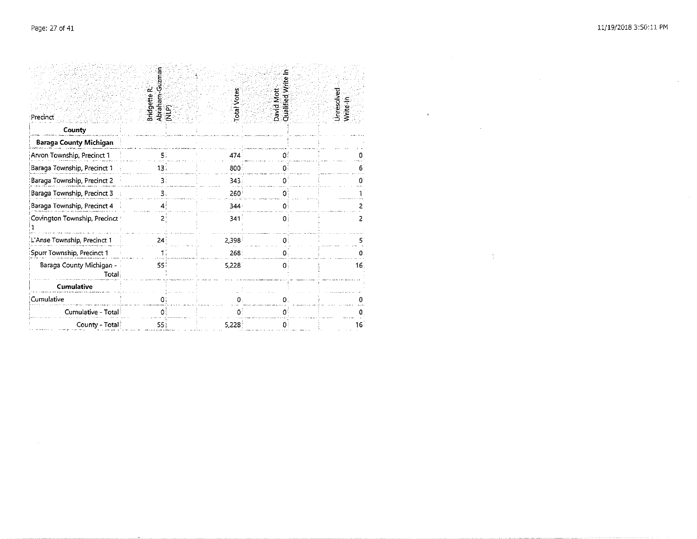$\sim 10^{11}$ 

 $\sim 3\%$  .

 $\hat{\mathbf{a}}$ 

| Precinct                          | Ū<br>Bridgette R<br>Abraham<br>(NLP) | otal Votes       | David Mott   | Unresolvec |     |
|-----------------------------------|--------------------------------------|------------------|--------------|------------|-----|
| County                            |                                      |                  |              |            |     |
| <b>Baraga County Michigan</b>     |                                      |                  |              |            |     |
| Arvon Township, Precinct 1        | 5.                                   | 474              | 0.           |            |     |
| Baraga Township, Precinct 1       | 13:                                  | 800              | 0.           |            |     |
| Baraga Township, Precinct 2       | 3.                                   | 343              | 0.           |            |     |
| Baraga Township, Precinct 3       | З.                                   | 260              | o            |            |     |
| Baraga Township, Precinct 4       | 43                                   | 344.             | 0.           |            |     |
| Covington Township, Precinct      | 2                                    | 341 <sup>1</sup> | $\mathbf{0}$ |            |     |
| L'Anse Township, Precinct 1       | 24                                   | 2,398            | n            |            |     |
| Spurr Township, Precinct 1        |                                      | 268              |              |            |     |
| Baraga County Michigan -<br>Total | 55                                   | 5,228            | o            |            | 16: |
| Cumulative                        |                                      |                  |              |            |     |
| Cumulative                        |                                      |                  | U            |            |     |
| Cumulative - Total                | 01                                   | 0.               | 0            |            |     |
| County - Total                    | 55 i                                 | 5,228            | 0            |            | 16. |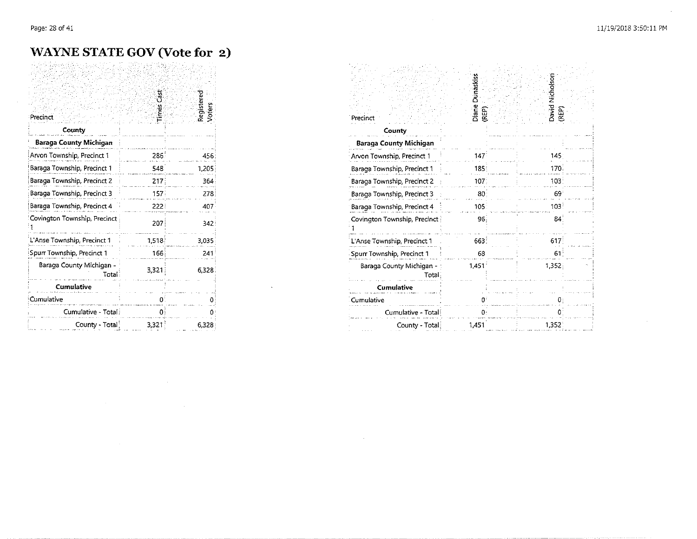#### WAYNE STATE GOV (Vote for 2)

| Precinct                          | ទូ<br>Times | Registered<br>Voters |
|-----------------------------------|-------------|----------------------|
| County                            |             |                      |
| <b>Baraga County Michigan</b>     |             |                      |
| Arvon Township, Precinct 1        | 286         | 456                  |
| Baraga Township, Precinct 1       | 548         | 1,205                |
| Baraga Township, Precinct 2       | 217         | 364                  |
| Baraga Township, Precinct 3       | 157         | 278                  |
| Baraga Township, Precinct 4       | 222         | 407                  |
| Covington Township, Precinct      | 207         | 342                  |
| L'Anse Township, Precinct 1       | 1.518       | 3.035                |
| Spurr Township, Precinct 1        | 166         | 241                  |
| Baraga County Michigan -<br>Total | 3,321       | 6.328                |
| <b>Cumulative</b>                 |             |                      |
| Cumulative                        | n           |                      |
| Cumulative - Total                | 0           |                      |
| County - Total                    | 3,321       | 6,328                |

 $\mathcal{L}^{\text{max}}_{\text{max}}$  , where  $\mathcal{L}^{\text{max}}_{\text{max}}$ 

 $\sim 10^{11}$  km s  $^{-1}$ 

 $\sim 10^{11}$ 

 $\mathcal{L}$ 

| Precinct                          | Diane Dunaskiss<br>REP) | David Nicholson<br>REP) |  |
|-----------------------------------|-------------------------|-------------------------|--|
| County                            |                         |                         |  |
| <b>Baraga County Michigan</b>     |                         |                         |  |
| Arvon Township, Precinct 1        | 147                     | 145.                    |  |
| Baraga Township, Precinct 1       | 185:                    | 170.                    |  |
| Baraga Township, Precinct 2       | 107 <sup>2</sup>        | 103:                    |  |
| Baraga Township, Precinct 3       | 80                      | 69                      |  |
| Baraga Township, Precinct 4       | 105 <sup>2</sup>        | 103                     |  |
| Covington Township, Precinct      | 96                      | 84                      |  |
| L'Anse Township, Precinct 1       | 663                     | 617                     |  |
| Spurr Township, Precinct 1        | 68                      | 61                      |  |
| Baraga County Michigan -<br>Total | 1.451                   | 1,352.                  |  |
| <b>Cumulative</b>                 |                         |                         |  |
| Cumulative                        | n                       |                         |  |
| Cumulative - Total:               | 0:                      |                         |  |
| County - Total                    | 1,451                   | 1,352                   |  |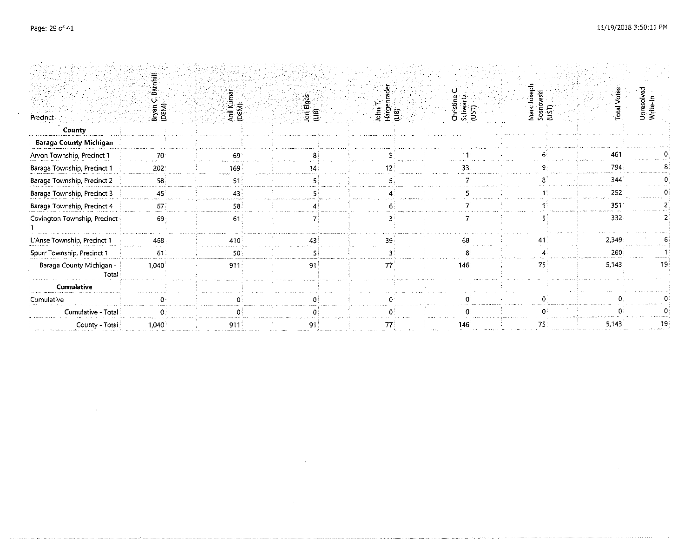$\mathcal{L}^{\text{max}}_{\text{max}}$  , where  $\mathcal{L}^{\text{max}}_{\text{max}}$ 

 $\mathcal{L}^{\text{max}}$  and  $\mathcal{L}^{\text{max}}$  .

 $\sim$ 

 $\sim$ 

| Precinct                          | Bryan<br>(DEM)  | Anil Kumar<br>(DEM) | Jon Elgas<br>(LIB) | John T.<br>Hargen<br>(LIB) | Christine<br>Schwart<br>(UST) | Marc Joseph<br>Sosnowski<br>(UST) | <b>Total Votes</b> | Unresolved<br>Write-In |
|-----------------------------------|-----------------|---------------------|--------------------|----------------------------|-------------------------------|-----------------------------------|--------------------|------------------------|
| County                            |                 |                     |                    |                            |                               |                                   |                    |                        |
| <b>Baraga County Michigan</b>     |                 |                     |                    |                            |                               |                                   |                    |                        |
| Arvon Township, Precinct 1        |                 | 69                  |                    |                            |                               |                                   | 461                |                        |
| Baraga Township, Precinct 1       | 202             | 169                 |                    |                            |                               |                                   | 794                |                        |
| Baraga Township, Precinct 2       | 58              | 51                  |                    |                            |                               |                                   | 344                |                        |
| Baraga Township, Precinct 3       | 45              | 43                  |                    |                            |                               |                                   | 252                |                        |
| Baraga Township, Precinct 4       | 67 <sup>2</sup> | 58                  |                    |                            |                               |                                   | 351                |                        |
| Covington Township, Precinct      | 69              | 61                  |                    |                            |                               |                                   | 332                |                        |
| L'Anse Township, Precinct 1       | 468             | 410                 | 43                 | 39                         | 68                            |                                   | 2,349              |                        |
| Spurr Township, Precinct 1        | 61              | 50                  |                    |                            |                               |                                   | 260                |                        |
| Baraga County Michigan -<br>Total | 1.040           | 911:                | 91                 | 77                         | 146.                          | 75.                               | 5,143              |                        |
| <b>Cumulative</b>                 |                 |                     |                    |                            |                               |                                   |                    |                        |
| Cumulative                        |                 |                     |                    |                            |                               |                                   |                    |                        |
| Cumulative - Total                |                 |                     |                    |                            |                               |                                   |                    |                        |
| County - Total                    | 1,040           | 911                 |                    |                            | 146                           |                                   | 5,143              |                        |

 $\mathcal{L}^{\text{max}}_{\text{max}}$  and  $\mathcal{L}^{\text{max}}_{\text{max}}$ 

 $\sim 10^{11}$  km  $^{-1}$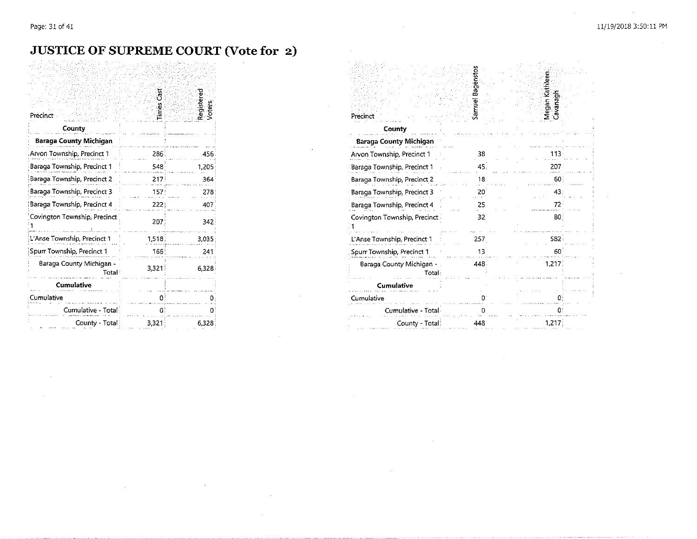$\sim 10^{-1}$ 

## **JUSTICE OF SUPREME COURT (Vote for 2)**

 $\sim$ 

 $\sim$ 

| Precinct                          | imes Cas | Registerec |
|-----------------------------------|----------|------------|
| County                            |          |            |
| Baraga County Michigan            |          |            |
| Arvon Township, Precinct 1        | 286      | 456        |
| Baraga Township, Precinct 1       | 548      | 1,205      |
| Baraga Township, Precinct 2       | 217      | 364        |
| Baraga Township, Precinct 3       | 157)     | 278        |
| Baraga Township, Precinct 4       | 222      | 407        |
| Covington Township, Precinct      | 207      | 342        |
| L'Anse Township, Precinct 1       | 1,518.   | 3,035      |
| Spurr Township, Precinct 1        | 166      | 241        |
| Baraga County Michigan -<br>Total | 3.321    | 6.328      |
| Cumulative                        |          |            |
| Cumulative                        | 0.       |            |
| Cumulative - Total                | O.       |            |
| County - Total                    | 3 3 2 1  | 6,328      |

 $\sim$ 

| Precinct                                                    | samuel Bagenstos | Megan Kathleen<br>Cavanagh |  |
|-------------------------------------------------------------|------------------|----------------------------|--|
| County                                                      |                  |                            |  |
| <b>Baraga County Michigan</b><br>Arvon Township, Precinct 1 | 38               | 113.                       |  |
| Baraga Township, Precinct 1                                 | 45:              | 207                        |  |
| Baraga Township, Precinct 2                                 | 18:              | 60                         |  |
| Baraga Township, Precinct 3                                 | 201              | 43.                        |  |
| Baraga Township, Precinct 4                                 | 25.              | $72^{\circ}$               |  |
| Covington Township, Precinct                                | 32               | 80                         |  |
| L'Anse Township, Precinct 1                                 | 257              | 582                        |  |
| Spurr Township, Precinct 1                                  | 13               | 60                         |  |
| Baraga County Michigan -<br>Total                           | 448              | 1,217.                     |  |
| <b>Cumulative</b>                                           |                  |                            |  |
| Cumulative                                                  | 0.               |                            |  |
| Cumulative - Total                                          |                  | 0:                         |  |
| County - Total:                                             | 448              | 1,217                      |  |

 $\sim 10^{-1}$ 

 $\mathcal{L}$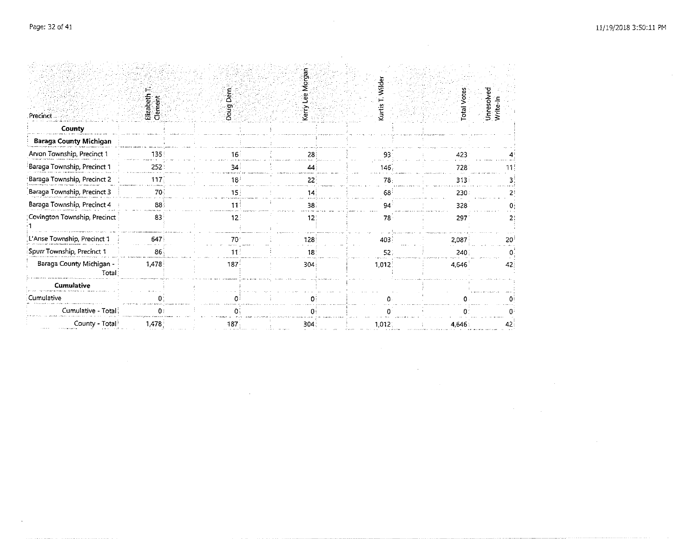$\mathcal{L}^{\text{max}}_{\text{max}}$  and  $\mathcal{L}^{\text{max}}_{\text{max}}$ 

|                                   |                         |  |                 | कु                             |  |                  |                    |                        |  |
|-----------------------------------|-------------------------|--|-----------------|--------------------------------|--|------------------|--------------------|------------------------|--|
| Precinct                          | Elizabeth T.<br>Clement |  | Dern<br>Doug    | <u>چ</u><br>٩è<br>кегу<br>Хету |  | Wilder<br>Kurtis | <b>Total Votes</b> | Unresolved<br>Write-In |  |
| County                            |                         |  |                 |                                |  |                  |                    |                        |  |
| <b>Baraga County Michigan</b>     |                         |  |                 |                                |  |                  |                    |                        |  |
| Arvon Township, Precinct 1        | 135                     |  | 16 <sup>1</sup> | 28                             |  | 93               | 423                |                        |  |
| Baraga Township, Precinct 1       | 252                     |  | 34              | 44                             |  | 146              | 728                | 11.                    |  |
| Baraga Township, Precinct 2       | 117.                    |  | 18              | 22                             |  | 78               | 313:               |                        |  |
| Baraga Township, Precinct 3       | 70                      |  | 15 <sub>1</sub> | 14                             |  | 68               | 230                |                        |  |
| Baraga Township, Precinct 4       | 88                      |  | 11!             | 38.                            |  | 94               | 328                |                        |  |
| Covington Township, Precinct      | 83                      |  | 12.             | 12!                            |  | 78               | 297                |                        |  |
| L'Anse Township, Precinct 1       | 647                     |  | 70              | 128                            |  | 403              | 2,087              | 20                     |  |
| Spurr Township, Precinct 1        | 86                      |  | 11              | 18                             |  | 52.              | 240                |                        |  |
| Baraga County Michigan -<br>Total | 1,478                   |  | 187             | 304                            |  | 1,012            | 4,546              | 42                     |  |
| <b>Cumulative</b>                 |                         |  |                 |                                |  |                  |                    |                        |  |
| Cumulative                        |                         |  |                 | Ωí                             |  |                  |                    |                        |  |
| Cumulative - Total                | $\mathbf{0}$            |  | O.              | O₫                             |  |                  | O.                 |                        |  |
| County - Total!                   | 1,478                   |  | 187.            | 304.                           |  | 1,012            | 4,646              | 42                     |  |

 $\mathcal{L}^{\text{max}}_{\text{max}}$  and  $\mathcal{L}^{\text{max}}_{\text{max}}$ 

 $\mathcal{L}^{\text{max}}_{\text{max}}$  and  $\mathcal{L}^{\text{max}}_{\text{max}}$ 

 $\label{eq:2.1} \mathcal{L}(\mathcal{L}^{\mathcal{L}}_{\mathcal{L}}(\mathcal{L}^{\mathcal{L}}_{\mathcal{L}})) \leq \mathcal{L}(\mathcal{L}^{\mathcal{L}}_{\mathcal{L}}(\mathcal{L}^{\mathcal{L}}_{\mathcal{L}})) \leq \mathcal{L}(\mathcal{L}^{\mathcal{L}}_{\mathcal{L}}(\mathcal{L}^{\mathcal{L}}_{\mathcal{L}}))$ 

 $\sim 10^{11}$  km s  $^{-1}$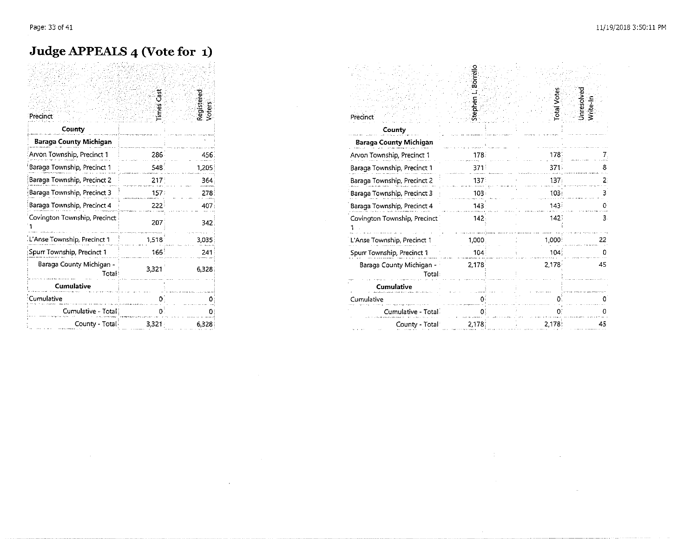#### **Judge APPEALS 4 (Vote for 1)**

| Precinct                          |                     | Registered<br><b>Voters</b> | Precinci                          |
|-----------------------------------|---------------------|-----------------------------|-----------------------------------|
| County                            |                     |                             | County                            |
| Baraga County Michigan            |                     |                             | Baraga County Michigan            |
| Arvon Township, Precinct 1        | 286                 | 456                         | Arvon Township, Precinct 1        |
| Baraga Township, Precinct 1       | 548.                | 1,205                       | Baraga Township, Precinct 1       |
| Baraga Township, Precinct 2       | 217 <sup>1</sup>    | 364                         | Baraga Township, Precinct 2       |
| Baraga Township, Precinct 3       | 157:                | 278                         | Baraga Township, Precinct 3       |
| Baraga Township, Precinct 4       | $222^{\frac{1}{2}}$ | 407                         | Baraga Township, Precinct 4       |
| Covington Township, Precinct      | 207                 | 342                         | Covington Township, Precinct      |
| L'Anse Township, Precinct 1       | 1,518               | 3,035                       | L'Anse Township, Precinct 1       |
| Spurr Township, Precinct 1        | 166 <sup>3</sup>    | 241                         | Spurr Township, Precinct 1        |
| Baraga County Michigan -<br>Total | 3,321               | 6.328                       | Baraga County Michigan -<br>Total |
| <b>Cumulative</b>                 |                     |                             | Cumulative                        |
| Cumulative                        |                     |                             | Cumulative                        |
| Cumulative - Total                | 0.                  |                             | Cumulative - Total                |
| County - Total                    | 3,321               | 6.328                       | County - Total                    |

and the control of the control of

 $\sim 10^7$ 

 $\mathcal{L}^{\text{max}}_{\text{max}}$  ,  $\mathcal{L}^{\text{max}}_{\text{max}}$ 

| Precinct                          | Š     | Registered<br>Voters | Precinc                           |       |       | Ĕ<br>ξ |
|-----------------------------------|-------|----------------------|-----------------------------------|-------|-------|--------|
| County                            |       |                      | County                            |       |       |        |
| Baraga County Michigan            |       |                      | <b>Baraga County Michigan</b>     |       |       |        |
| Arvon Township, Precinct 1        | 286   | 45b                  | Arvon Township, Precinct 1        |       |       |        |
| Baraga Township, Precinct 1       | 548   | 1,205                | Baraga Township, Precinct 1       | 37.   |       |        |
| Baraga Township, Precinct 2       | 217   | 364                  | Baraga Township, Precinct 2       | 137   | 137   |        |
| Baraga Township, Precinct 3       | 157   | 278                  | Baraga Township, Precinct 3       | 103   | 103   |        |
| Baraga Township, Precinct 4       | 222   | 407                  | Baraga Township, Precinct 4       | 143   | 143.  |        |
| Covington Township, Precinct      | 207   | 342                  | Covington Township, Precinct      | 142   | 142   |        |
| Anse Township, Precinct 1         | 1,518 | 3,035                | L'Anse Township, Precinct 1       | 1.000 | 1,000 | 22     |
| Spurr Township, Precinct 1        | 166   | 241                  | Spurr Township, Precinct 1        | 104   | 104   |        |
| Baraga County Michigan -<br>Total | 3,321 | 6.328                | Baraga County Michigan -<br>Total | 2,178 | 2,178 | 45     |
| <b>Cumulative</b>                 |       |                      | <b>Cumulative</b>                 |       |       |        |
| Cumulative                        |       |                      | Cumulative                        |       |       |        |
| Cumulative - Total                |       |                      | Cumulative - Total                |       |       |        |
| County - Total                    | 3,321 | 6328                 | County - Total                    | 2,178 | 2,178 |        |

 $\label{eq:2.1} \begin{split} \mathcal{L}_{\text{max}}(\mathbf{r}) &= \mathcal{L}_{\text{max}}(\mathbf{r}) \mathcal{L}_{\text{max}}(\mathbf{r}) \mathcal{L}_{\text{max}}(\mathbf{r}) \mathcal{L}_{\text{max}}(\mathbf{r}) \mathcal{L}_{\text{max}}(\mathbf{r}) \mathcal{L}_{\text{max}}(\mathbf{r}) \mathcal{L}_{\text{max}}(\mathbf{r}) \mathcal{L}_{\text{max}}(\mathbf{r}) \mathcal{L}_{\text{max}}(\mathbf{r}) \mathcal{L}_{\text{max}}(\mathbf{r}) \mathcal{L}_{\text{max}}(\mathbf{r}) \$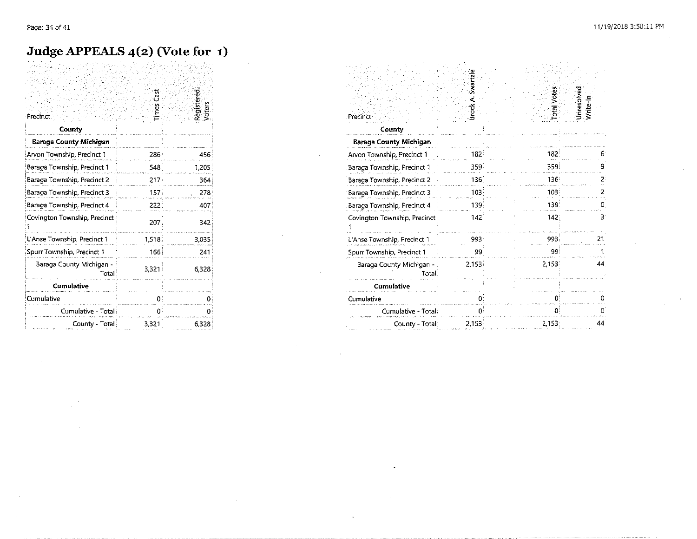### Judge APPEALS 4(2) (Vote for 1)

|                                   | ន្លឹ   |                      |
|-----------------------------------|--------|----------------------|
| Precinct                          | Times  | Registered<br>Voters |
| County                            |        |                      |
| Baraga County Michigan            |        |                      |
| Arvon Township, Precinct 1        | 286:   | 456                  |
| Baraga Township, Precinct 1       | 548.   | 1,205                |
| Baraga Township, Precinct 2       | 217.   | 364                  |
| Baraga Township, Precinct 3       | 157.   | 278                  |
| Baraga Township, Precinct 4       | 2221   | 407                  |
| Covington Township, Precinct      | 207.   | 342                  |
| L'Anse Township, Precinct 1       | 1,518. | 3,035                |
| Spurr Township, Precinct 1        | 166    | 241                  |
| Baraga County Michigan -<br>Total | 3,321  | 6.328                |
| <b>Cumulative</b>                 |        |                      |
| Cumulative                        | п      |                      |
| Cumulative - Total                |        |                      |
| County - Total                    | 3,321  | 6.328                |

| Precinct                           | <b>Brock A. Swartzle</b> | otal Votes       | Unresolved<br>Write-In |
|------------------------------------|--------------------------|------------------|------------------------|
| County                             |                          |                  |                        |
| Baraga County Michigan             |                          |                  |                        |
| Arvon Township, Precinct 1         | 182.                     | 182              |                        |
| Baraga Township, Precinct 1        | 359                      | 359              | 9                      |
| Baraga Township, Precinct 2        | 136                      | 136 <sup>3</sup> | 2                      |
| Baraga Township, Precinct 3        | 103 <sup>2</sup>         | 103 <sup>3</sup> | 2                      |
| Baraga Township, Precinct 4        | 139.                     | 139              | 0                      |
| Covington Township, Precinct       | 142                      | 142.             | З.                     |
| L'Anse Township, Precinct 1        | 993.                     | 993.             | 21                     |
| Spurr Township, Precinct 1         | 99                       | 99               |                        |
| Baraga County Michigan -<br>Total: | 2,153                    | 2.153.           | 44                     |
| <b>Cumulative</b>                  |                          |                  |                        |
| Cumulative                         | 0:                       |                  |                        |
| Cumulative - Total                 | Đ.                       |                  |                        |
| County - Total                     | 2,153                    | 2.153:           | 44                     |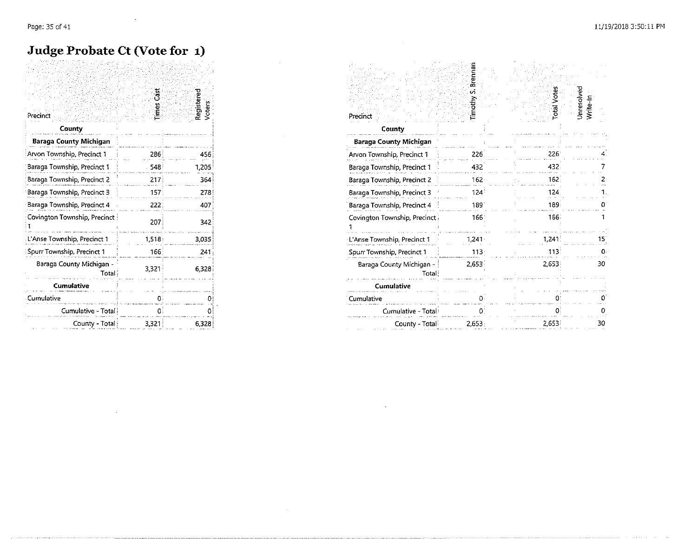#### Judge Probate Ct (Vote for 1)

| Precinct<br>County                  | Ğ<br>Times | Registere |
|-------------------------------------|------------|-----------|
| Baraga County Michigan              |            |           |
| Arvon Township, Precinct 1          | 286        | 456       |
| Baraga Township, Precinct 1         | 548        | 1,205     |
| Baraga Township, Precinct 2         | 217        | 364       |
| Baraga Township, Precinct 3         | 157        | 278       |
| Baraga Township, Precinct 4         | 222        | 407       |
| Covington Township, Precinct        | 207        | 342       |
| L'Anse Township, Precinct 1         | 1,518      | 3,035     |
| Spurr Township, Precinct 1          | 166        | 241       |
| Baraga County Michigan -<br>Total i | 3,321      | 6,328     |
| Cumulative                          |            |           |
| Cumulative                          |            | Ω         |
| Cumulative - Total                  | O.         | o         |
| County - Total                      | 3,321      | 6,328     |

 $\sim$ 

 $\sim 10^7$ 

|                                   | Brennan                |           |                        |  |  |
|-----------------------------------|------------------------|-----------|------------------------|--|--|
| Precinct                          | Timothy <sub>S</sub> . | otal Vote | Unresolved<br>Write-In |  |  |
| County                            |                        |           |                        |  |  |
| Baraga County Michigan            |                        |           |                        |  |  |
| Arvon Township, Precinct 1        | 226                    | 226       |                        |  |  |
| Baraga Township, Precinct 1       | 432                    | 432.      |                        |  |  |
| Baraga Township, Precinct 2       | 162                    | 162       |                        |  |  |
| Baraga Township, Precinct 3       | 124                    | 124       |                        |  |  |
| Baraga Township, Precinct 4       | 1891                   | 189       | Ð                      |  |  |
| Covington Township, Precinct      | 166                    | 166.      |                        |  |  |
| L Anse Township, Precinct 1       | 1,241                  | 1,241     | 15                     |  |  |
| Spurr Township, Precinct 1        | $113 -$                | 113       | Ω.                     |  |  |
| Baraga County Michigan -<br>Total | 2,653                  | 2,653     | 30                     |  |  |
| Cumulative                        |                        |           |                        |  |  |
| Cumulative                        |                        | O.        |                        |  |  |
| Cumulative - Total:               |                        |           |                        |  |  |
| County - Total                    | 2,653                  | 2,653     | 30                     |  |  |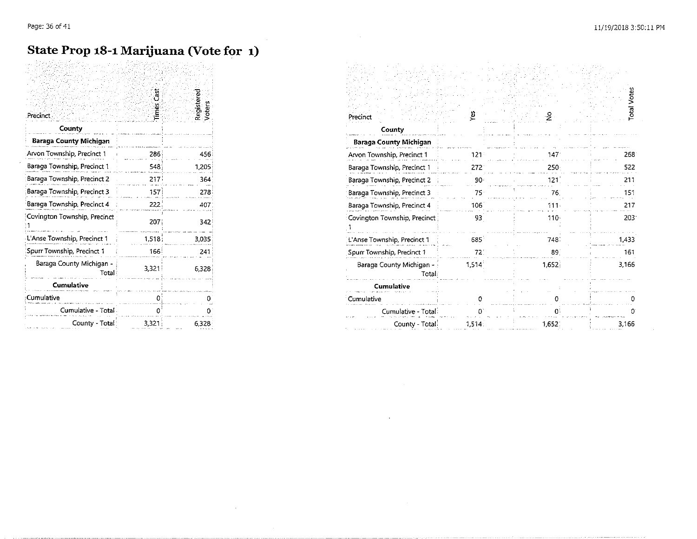### **State Prop 18-1 Marijuana (Vote for 1)**

| <b>Precinct</b>                   | ទី                  | Registere<br>Voters | Precinct                           |
|-----------------------------------|---------------------|---------------------|------------------------------------|
| County                            |                     |                     | County                             |
| <b>Baraga County Michigan</b>     |                     |                     | <b>Baraga County Michigan</b>      |
| Arvon Township, Precinct 1        | 286                 | 456.                | Arvon Township, Precinct 1         |
| Baraga Township, Precinct 1       | 5481                | 1,205               | Baraga Township, Precinct 1        |
| Baraga Township, Precinct 2       | 217                 | 364                 | Baraga Township, Precinct 2        |
| Baraga Township, Precinct 3       | 157                 | 278 <sup>3</sup>    | Baraga Township, Precinct 3        |
| Baraga Township, Precinct 4       | 222                 | 407                 | Baraga Township, Precinct 4        |
| Covington Township, Precinct      | 207                 | 342                 | Covington Township, Precinct       |
| L'Anse Township, Precinct 1       | 1,518               | 3.035               | L Anse Township, Precinct 1        |
| Spurr Township, Precinct 1        | $166^{\frac{1}{2}}$ | 241                 | Spurr Township, Precinct 1         |
| Baraga County Michigan -<br>Total | 3,321               | 6.328               | Baraga County Michigan -<br>Totali |
| <b>Cumulative</b>                 |                     |                     | Cumulative                         |
| Cumulative                        |                     |                     | Cumulative                         |
| Cumulative - Total -              |                     |                     | Cumulative - Total                 |
| County - Total:                   | 3,321               | 6,328               | County - Total                     |

| Precinct                          |       | Register<br>Voters | Precinct                          |       |       |       |
|-----------------------------------|-------|--------------------|-----------------------------------|-------|-------|-------|
| County                            |       |                    | County                            |       |       |       |
| <b>Baraga County Michigan</b>     |       |                    | <b>Baraga County Michigan</b>     |       |       |       |
| Arvon Township, Precinct 1        | 286   | 456                | Arvon Township, Precinct 1        |       |       | 268   |
| Baraga Township, Precinct 1       | 548   | 1,205              | Baraga Township, Precinct 1       | 272   | 250   | 522   |
| Baraga Township, Precinct 2       | 217   | 364                | Baraga Township, Precinct 2       |       |       | 211   |
| Baraga Township, Precinct 3       | 157   | 278 <sup>3</sup>   | Baraga Township, Precinct 3       |       |       | 151   |
| Baraga Township, Precinct 4       | 222   | 407                | Baraga Township, Precinct 4       | 106   | 111   | 217   |
| Covington Township, Precinct      | 207   | 342                | Covington Township, Precinct      | 93    | 110   | 2031  |
| L'Anse Township, Precinct 1       | 1,518 | 3.035              | L'Anse Township, Precinct 1       | 685   | 748   | 1.433 |
| Spurr Township, Precinct 1        | 166   | 241                | Spurr Township, Precinct 1        |       | 89    | 161   |
| Baraga County Michigan -<br>Total | 3,321 | 6,328              | Baraga County Michigan -<br>Total | 1,514 | 1,652 | 3,166 |
| <b>Cumulative</b>                 |       |                    | Cumulative                        |       |       |       |
| Cumulative                        |       |                    | Cumulative                        |       |       |       |
| Cumulative - Total                |       |                    | Cumulative - Total                |       |       |       |
| County - Total                    | 3,321 | 6,328              | County Total                      | 1,514 | 1,652 | 3,166 |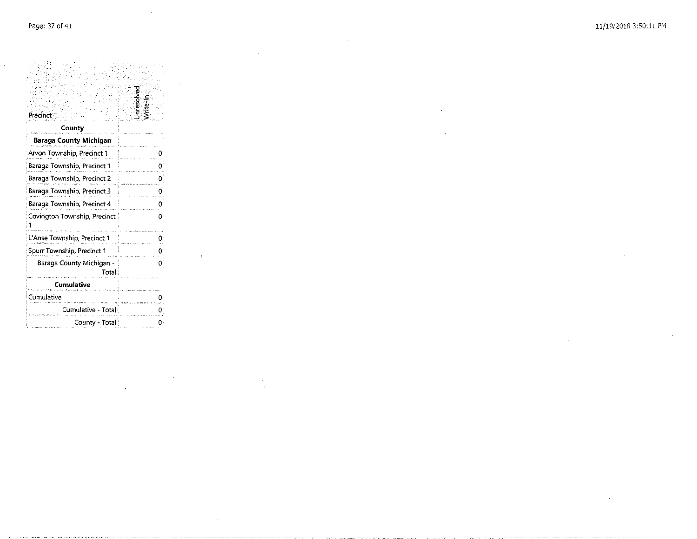$\sim$ 

 $\mathcal{L}_{\text{max}}$  and  $\mathcal{L}_{\text{max}}$ 

 $\sim$ 

 $\mathbb{R}^2$ 

| Precinct                           | hresolver |
|------------------------------------|-----------|
| County                             |           |
| Baraga County Michigan             |           |
| Arvon Township, Precinct 1         |           |
| Baraga Township, Precinct 1        |           |
| Baraga Township, Precinct 2        |           |
| Baraga Township, Precinct 3        | O         |
| Baraga Township, Precinct 4        | ο         |
| Covington Township, Precinct       | ٥         |
| L'Anse Township, Precinct 1        |           |
| Spurr Township, Precinct 1         | 0         |
| Baraga County Michigan -<br>Totall | 0         |
| Cumulative                         |           |
| Cumulative                         | 0         |
| Cumulative - Total                 |           |
| County - Total                     |           |

 $\mathbf{v}$ 

 $\sim$ 

 $\sim$ 

 $\sim 100$ 

 $\sim$ 

 $\sim$ 

 $\sim 10$ 

 $\sim 10^7$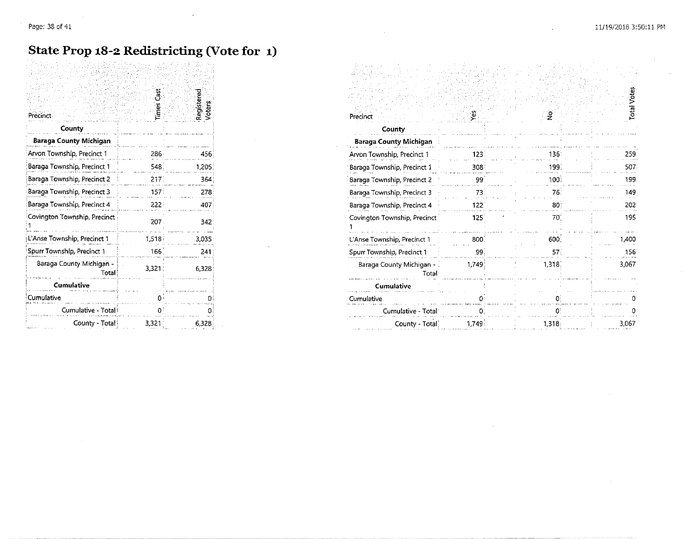#### **State Prop 18-2 Redistricting (Vote for 1)**

| Precinct                          | limes Cast       | Registered<br>Voters | Precinct                          |
|-----------------------------------|------------------|----------------------|-----------------------------------|
| County                            |                  |                      | County                            |
| <b>Baraga County Michigan</b>     |                  |                      | <b>Baraga County Michigan</b>     |
| Arvon Township, Precinct 1        | 286:             | 456                  | Arvon Township, Precinct 1        |
| Baraga Township, Precinct 1       | 548.             | 1,205                | Baraga Township, Precinct 1       |
| Baraga Township, Precinct 2       | 217              | 364                  | Baraga Township, Precinct 2       |
| Baraga Township, Precinct 3       | 157 <sup>2</sup> | 278                  | Baraga Township, Precinct 3       |
| Baraga Township, Precinct 4       | 222:             | 407                  | Baraga Township, Precinct 4       |
| Covington Township, Precinct      | 207.             | 342                  | Covington Township, Precinct      |
| L'Anse Township, Precinct 1       | 1,518            | 3.035                | L'Anse Township, Precinct 1       |
| Spurr Township, Precinct 1        | 166              | 241                  | Spurr Township, Precinct 1        |
| Baraga County Michigan -<br>Total | 3,321:           | 6328                 | Baraga County Michigan -<br>Total |
| <b>Cumulative</b>                 |                  |                      | <b>Cumulative</b>                 |
| Cumulative                        | O۰               |                      | Cumulative                        |
| Cumulative - Total                |                  |                      | Cumulative - Total                |
| County - Total                    | 3,321            | 6,328                | County - Total                    |

| Precinct                          |                  | Registere<br>Voters | Precinct                      |       |        | <b>Total Votes</b> |
|-----------------------------------|------------------|---------------------|-------------------------------|-------|--------|--------------------|
| County                            |                  |                     | County                        |       |        |                    |
| <b>Baraga County Michigan</b>     |                  |                     | <b>Baraga County Michigan</b> |       |        |                    |
| Arvon Township, Precinct 1        | 286              | 156                 | Arvon Township, Precinct 1    | 123   | 136    | 259                |
| Baraga Township, Precinct 1       | 548              | ,205                | Baraga Township, Precinct 1   | 308   |        | 507                |
| Baraga Township, Precinct 2       | 217 <sup>1</sup> | 364                 | Baraga Township, Precinct 2   |       | 100    | 199                |
| Baraga Township, Precinct 3       | 157 <sup>3</sup> | 278                 | Baraga Township, Precinct 3   |       | 76.    | 149                |
| Baraga Township, Precinct 4       | 222              | 407                 | Baraga Township, Precinct 4   | 122   | 30     | 202                |
| Covington Township, Precinct      | 207.             | 342                 | Covington Township, Precinct  | 125   | 70     | 195                |
| L'Anse Township, Precinct 1       | 1.518            | 3,035               | L'Anse Township, Precinct 1   | 800   | 600    | .400               |
| Spurr Township, Precinct 1        | 166              | 241                 | Spurr Township, Precinct 1    | 99.   | 57     | 156                |
| Baraga County Michigan -<br>Total | 3,321            | 6.328               | Baraga County Michigan -      | 1.749 | 1,318  | 3,067              |
| <b>Cumulative</b>                 |                  |                     | Cumulative                    |       |        |                    |
| Cumulative                        |                  |                     | Cumulative                    |       |        |                    |
| Cumulative - Total                |                  |                     | Cumulative - Total            |       |        |                    |
| County - Total                    | 3,321            | 6,328               | County - Total                | 1,749 | 1,318; | 3,067              |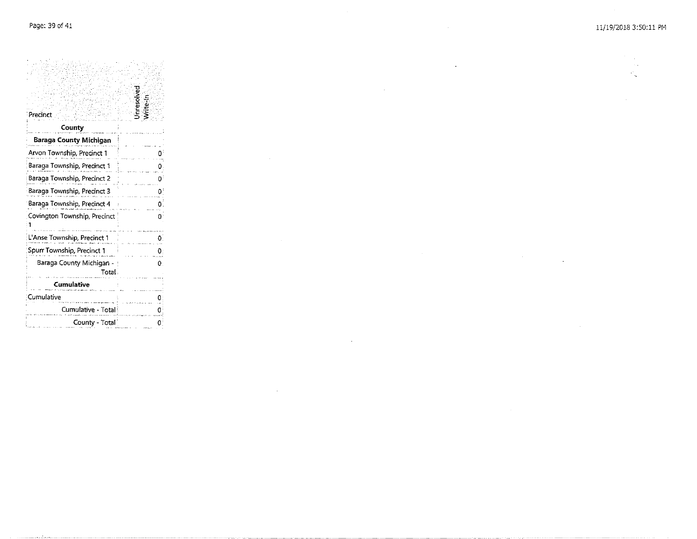$\mathcal{A}=\mathcal{A}$  $\sim$  .  $\mathcal{P}_{\mathbf{q}}$ 

 $\sim$ 

 $\mathbf{r}$ 

| Precinct                                                                         | Unresolved<br>Write-In |
|----------------------------------------------------------------------------------|------------------------|
| County                                                                           |                        |
| <b>Baraga County Michigan</b>                                                    |                        |
| Arvon Township, Precinct 1                                                       |                        |
| Baraga Township, Precinct 1                                                      |                        |
| Baraga Township, Precinct 2                                                      |                        |
| Baraga Township, Precinct 3                                                      |                        |
| Baraga Township, Precinct 4                                                      |                        |
| Covington Township, Precinct<br><u>sa construire de la manda de mais de la c</u> |                        |
| L'Anse Township, Precinct 1                                                      |                        |
| Spurr Township, Precinct 1                                                       |                        |
| Baraga County Michigan -  <br>Total                                              | 0                      |
| Cumulative                                                                       |                        |
| Cumulative                                                                       |                        |
| Cumulative - Total                                                               |                        |
| County - Total                                                                   |                        |

 $\sim$ 

 $\sim 10^{-1}$ 

 $\sim$ 

 $\sim 10^{-1}$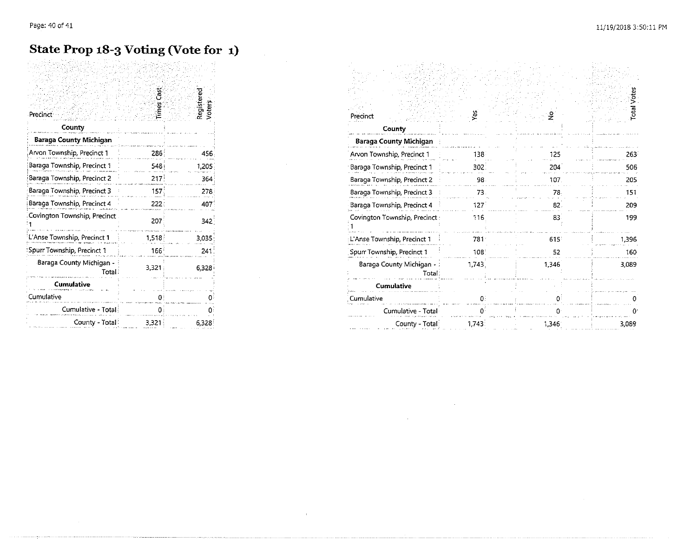$\sim 10^6$ 

### **State Prop 18-3 Voting (Vote for 1)**

 $\label{eq:2} \frac{1}{2}\sum_{i=1}^n\frac{1}{2}\sum_{j=1}^n\frac{1}{2}\sum_{j=1}^n\frac{1}{2}\sum_{j=1}^n\frac{1}{2}\sum_{j=1}^n\frac{1}{2}\sum_{j=1}^n\frac{1}{2}\sum_{j=1}^n\frac{1}{2}\sum_{j=1}^n\frac{1}{2}\sum_{j=1}^n\frac{1}{2}\sum_{j=1}^n\frac{1}{2}\sum_{j=1}^n\frac{1}{2}\sum_{j=1}^n\frac{1}{2}\sum_{j=1}^n\frac{1}{2}\sum_{j=1}^n\frac{$ 

 $\mathbf{u}^{\mathrm{in}}$ 

| Precinct <sup>-</sup>             | ă<br>limes       | Registered<br>Voters | Precinct                          |
|-----------------------------------|------------------|----------------------|-----------------------------------|
| County                            |                  |                      | County                            |
| Baraga County Michigan            |                  |                      | Baraga County Michigan            |
| Arvon Township, Precinct 1        | 286 <sup>1</sup> | 456                  | Arvon Township, Precinct 1        |
| Baraga Township, Precinct 1       | 548              | 1.205                | Baraga Township, Precinct 1       |
| Baraga Township, Precinct 2       | 217              | 364                  | Baraga Township, Precinct 2       |
| Baraga Township, Precinct 3       | 157 <sup>3</sup> | 278                  | Baraga Township, Precinct 3       |
| Baraga Township, Precinct 4       | 222              | 407                  | Baraga Township, Precinct 4       |
| Covington Township, Precinct      | 207              | 342                  | Covington Township, Precinct      |
| L'Anse Township, Precinct 1       | 1,518            | 3.035                | L'Anse Township, Precinct 1       |
| Spurr Township, Precinct 1        | 166'             | 241                  | Spurr Township, Precinct 1        |
| Baraga County Michigan -<br>Total | 3,321            | 6.328                | Baraga County Michigan -<br>Total |
| <b>Cumulative</b>                 |                  |                      | Cumulative                        |
| Cumulative                        | o                |                      | Cumulative                        |
| Cumulative - Total                | $0^{\circ}$      |                      | Cumulative - Total                |
| County - Total                    | 3,321            | 6328                 | County - Total                    |

|                  |       |                    | Precinct                         |       |       |       |
|------------------|-------|--------------------|----------------------------------|-------|-------|-------|
|                  |       |                    | County                           |       |       |       |
|                  |       |                    | <b>Baraga County Michigan</b>    |       |       |       |
| 286              | 456.  |                    | Arvon Township, Precinct 1       | 138   | 125   | 263   |
| 548              | 1.205 |                    | Baraga Township, Precinct 1      | 302   | 204   | 506   |
| 217)             | 364   |                    | Baraga Township, Precinct 2      | 98    | 107   | 205   |
| 157 <sup>2</sup> | 278   |                    | Baraga Township, Precinct 3      | 73    |       | 151   |
| 222              | 407.  |                    | Baraga Township, Precinct 4      | 127   | 82    | 209   |
| 207              | 342   |                    | Covington Township, Precinct:    | 116   | 83    | 199   |
| 1,518            | 3.035 |                    | L'Anse Township, Precinct 1      | 781   | 615   | 1,396 |
| 166'             | 241   |                    | Spurr Township, Precinct 1       | 108   |       | 160   |
| 3,321            | 6.328 |                    | Baraga County Michigan -<br>Fota | 1.743 | 1,346 | 3,089 |
|                  |       |                    | Cumulative                       |       |       |       |
|                  |       |                    | Cumulative                       |       |       |       |
|                  |       |                    | Cumulative - Total               |       |       |       |
| 3,321            | 6,328 |                    | County - Total:                  | 1,743 | 1,346 | 3,089 |
|                  |       | Register<br>Voters |                                  |       |       |       |

 $\label{eq:2.1} \mathcal{L}(\mathcal{L}^{\text{max}}_{\mathcal{L}}(\mathcal{L}^{\text{max}}_{\mathcal{L}})) \leq \mathcal{L}(\mathcal{L}^{\text{max}}_{\mathcal{L}}(\mathcal{L}^{\text{max}}_{\mathcal{L}}))$